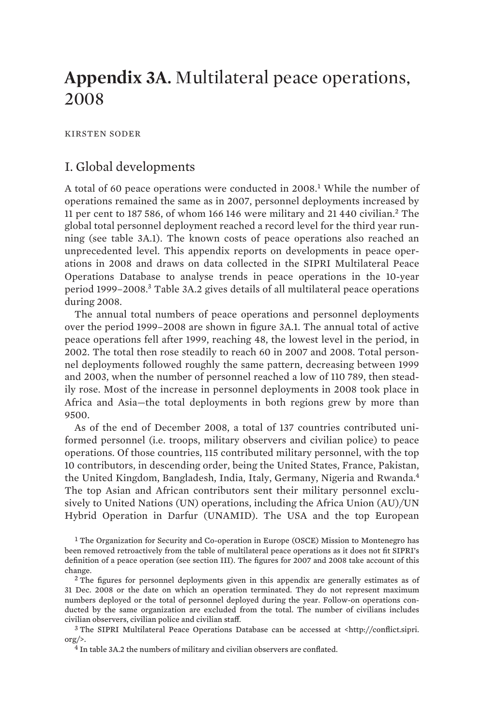# **Appendix 3A.** Multilateral peace operations, 2008

KIRSTEN SODER

# I. Global developments

A total of 60 peace operations were conducted in 2008.<sup>1</sup> While the number of operations remained the same as in 2007, personnel deployments increased by 11 per cent to 187 586, of whom 166 146 were military and 21 440 civilian.<sup>2</sup> The global total personnel deployment reached a record level for the third year running (see table 3A.1). The known costs of peace operations also reached an unprecedented level. This appendix reports on developments in peace operations in 2008 and draws on data collected in the SIPRI Multilateral Peace Operations Database to analyse trends in peace operations in the 10-year period 1999–2008.<sup>3</sup> Table 3A.2 gives details of all multilateral peace operations during 2008.

The annual total numbers of peace operations and personnel deployments over the period 1999–2008 are shown in figure 3A.1. The annual total of active peace operations fell after 1999, reaching 48, the lowest level in the period, in 2002. The total then rose steadily to reach 60 in 2007 and 2008. Total personnel deployments followed roughly the same pattern, decreasing between 1999 and 2003, when the number of personnel reached a low of 110 789, then steadily rose. Most of the increase in personnel deployments in 2008 took place in Africa and Asia—the total deployments in both regions grew by more than 9500.

As of the end of December 2008, a total of 137 countries contributed uniformed personnel (i.e. troops, military observers and civilian police) to peace operations. Of those countries, 115 contributed military personnel, with the top 10 contributors, in descending order, being the United States, France, Pakistan, the United Kingdom, Bangladesh, India, Italy, Germany, Nigeria and Rwanda.<sup>4</sup> The top Asian and African contributors sent their military personnel exclusively to United Nations (UN) operations, including the Africa Union (AU)/UN Hybrid Operation in Darfur (UNAMID). The USA and the top European

<sup>1</sup> The Organization for Security and Co-operation in Europe (OSCE) Mission to Montenegro has been removed retroactively from the table of multilateral peace operations as it does not fit SIPRI's definition of a peace operation (see section III). The figures for 2007 and 2008 take account of this change.

<sup>2</sup> The figures for personnel deployments given in this appendix are generally estimates as of 31 Dec. 2008 or the date on which an operation terminated. They do not represent maximum numbers deployed or the total of personnel deployed during the year. Follow-on operations conducted by the same organization are excluded from the total. The number of civilians includes civilian observers, civilian police and civilian staff.

<sup>3</sup> The SIPRI Multilateral Peace Operations Database can be accessed at <http://conflict.sipri.  $\text{org}/\geq$ .

<sup>4</sup> In table 3A.2 the numbers of military and civilian observers are conflated.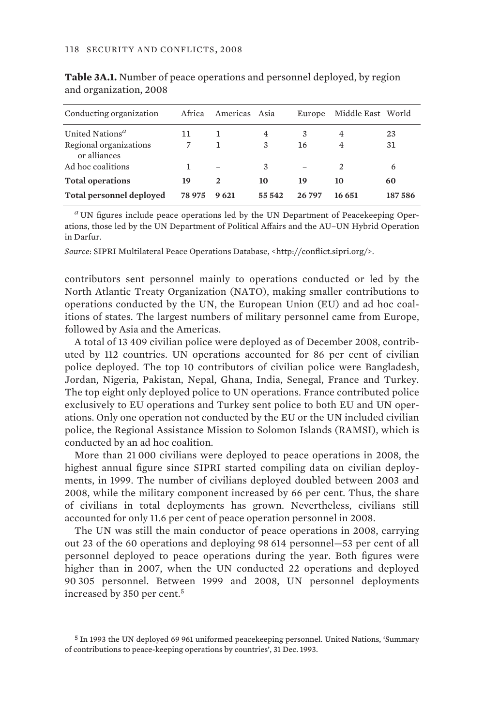| Conducting organization                | Africa | Americas Asia |        | Europe | Middle East World |        |
|----------------------------------------|--------|---------------|--------|--------|-------------------|--------|
| United Nations <sup>a</sup>            | 11     |               | 4      | 3      | 4                 | 23     |
| Regional organizations<br>or alliances | 7      |               | 3      | 16     | 4                 | 31     |
| Ad hoc coalitions                      |        |               | 3      |        | 2                 | 6      |
| <b>Total operations</b>                | 19     | $\mathbf{2}$  | 10     | 19     | 10                | 60     |
| Total personnel deployed               | 78975  | 9 621         | 55 542 | 26797  | 16 651            | 187586 |

**Table 3A.1.** Number of peace operations and personnel deployed, by region and organization, 2008

*<sup>a</sup>* UN figures include peace operations led by the UN Department of Peacekeeping Operations, those led by the UN Department of Political Affairs and the AU–UN Hybrid Operation in Darfur.

*Source*: SIPRI Multilateral Peace Operations Database, <http://conflict.sipri.org/>.

contributors sent personnel mainly to operations conducted or led by the North Atlantic Treaty Organization (NATO), making smaller contributions to operations conducted by the UN, the European Union (EU) and ad hoc coalitions of states. The largest numbers of military personnel came from Europe, followed by Asia and the Americas.

A total of 13 409 civilian police were deployed as of December 2008, contributed by 112 countries. UN operations accounted for 86 per cent of civilian police deployed. The top 10 contributors of civilian police were Bangladesh, Jordan, Nigeria, Pakistan, Nepal, Ghana, India, Senegal, France and Turkey. The top eight only deployed police to UN operations. France contributed police exclusively to EU operations and Turkey sent police to both EU and UN operations. Only one operation not conducted by the EU or the UN included civilian police, the Regional Assistance Mission to Solomon Islands (RAMSI), which is conducted by an ad hoc coalition.

More than 21 000 civilians were deployed to peace operations in 2008, the highest annual figure since SIPRI started compiling data on civilian deployments, in 1999. The number of civilians deployed doubled between 2003 and 2008, while the military component increased by 66 per cent. Thus, the share of civilians in total deployments has grown. Nevertheless, civilians still accounted for only 11.6 per cent of peace operation personnel in 2008.

The UN was still the main conductor of peace operations in 2008, carrying out 23 of the 60 operations and deploying 98 614 personnel—53 per cent of all personnel deployed to peace operations during the year. Both figures were higher than in 2007, when the UN conducted 22 operations and deployed 90 305 personnel. Between 1999 and 2008, UN personnel deployments increased by 350 per cent.<sup>5</sup>

<sup>5</sup> In 1993 the UN deployed 69 961 uniformed peacekeeping personnel. United Nations, 'Summary of contributions to peace-keeping operations by countries', 31 Dec. 1993.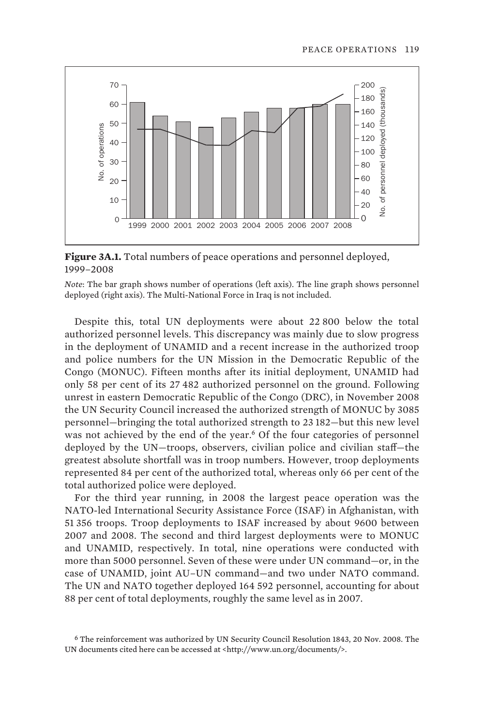

**Figure 3A.1.** Total numbers of peace operations and personnel deployed, 1999–2008

*Note*: The bar graph shows number of operations (left axis). The line graph shows personnel deployed (right axis). The Multi-National Force in Iraq is not included.

Despite this, total UN deployments were about 22 800 below the total authorized personnel levels. This discrepancy was mainly due to slow progress in the deployment of UNAMID and a recent increase in the authorized troop and police numbers for the UN Mission in the Democratic Republic of the Congo (MONUC). Fifteen months after its initial deployment, UNAMID had only 58 per cent of its 27 482 authorized personnel on the ground. Following unrest in eastern Democratic Republic of the Congo (DRC), in November 2008 the UN Security Council increased the authorized strength of MONUC by 3085 personnel—bringing the total authorized strength to 23 182—but this new level was not achieved by the end of the year.<sup>6</sup> Of the four categories of personnel deployed by the UN—troops, observers, civilian police and civilian staff—the greatest absolute shortfall was in troop numbers. However, troop deployments represented 84 per cent of the authorized total, whereas only 66 per cent of the total authorized police were deployed.

For the third year running, in 2008 the largest peace operation was the NATO-led International Security Assistance Force (ISAF) in Afghanistan, with 51 356 troops. Troop deployments to ISAF increased by about 9600 between 2007 and 2008. The second and third largest deployments were to MONUC and UNAMID, respectively. In total, nine operations were conducted with more than 5000 personnel. Seven of these were under UN command—or, in the case of UNAMID, joint AU–UN command—and two under NATO command. The UN and NATO together deployed 164 592 personnel, accounting for about 88 per cent of total deployments, roughly the same level as in 2007.

<sup>6</sup> The reinforcement was authorized by UN Security Council Resolution 1843, 20 Nov. 2008. The UN documents cited here can be accessed at <http://www.un.org/documents/>.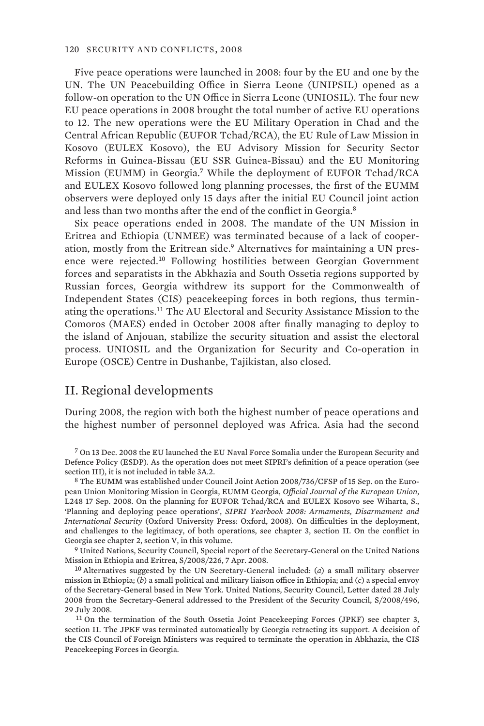Five peace operations were launched in 2008: four by the EU and one by the UN. The UN Peacebuilding Office in Sierra Leone (UNIPSIL) opened as a follow-on operation to the UN Office in Sierra Leone (UNIOSIL). The four new EU peace operations in 2008 brought the total number of active EU operations to 12. The new operations were the EU Military Operation in Chad and the Central African Republic (EUFOR Tchad/RCA), the EU Rule of Law Mission in Kosovo (EULEX Kosovo), the EU Advisory Mission for Security Sector Reforms in Guinea-Bissau (EU SSR Guinea-Bissau) and the EU Monitoring Mission (EUMM) in Georgia.<sup>7</sup> While the deployment of EUFOR Tchad/RCA and EULEX Kosovo followed long planning processes, the first of the EUMM observers were deployed only 15 days after the initial EU Council joint action and less than two months after the end of the conflict in Georgia.<sup>8</sup>

Six peace operations ended in 2008. The mandate of the UN Mission in Eritrea and Ethiopia (UNMEE) was terminated because of a lack of cooperation, mostly from the Eritrean side.<sup>9</sup> Alternatives for maintaining a UN presence were rejected.<sup>10</sup> Following hostilities between Georgian Government forces and separatists in the Abkhazia and South Ossetia regions supported by Russian forces, Georgia withdrew its support for the Commonwealth of Independent States (CIS) peacekeeping forces in both regions, thus terminating the operations.<sup>11</sup> The AU Electoral and Security Assistance Mission to the Comoros (MAES) ended in October 2008 after finally managing to deploy to the island of Anjouan, stabilize the security situation and assist the electoral process. UNIOSIL and the Organization for Security and Co-operation in Europe (OSCE) Centre in Dushanbe, Tajikistan, also closed.

## II. Regional developments

During 2008, the region with both the highest number of peace operations and the highest number of personnel deployed was Africa. Asia had the second

7 On 13 Dec. 2008 the EU launched the EU Naval Force Somalia under the European Security and Defence Policy (ESDP). As the operation does not meet SIPRI's definition of a peace operation (see section III), it is not included in table 3A.2.

8 The EUMM was established under Council Joint Action 2008/736/CFSP of 15 Sep. on the European Union Monitoring Mission in Georgia, EUMM Georgia, *Official Journal of the European Union*, L248 17 Sep. 2008. On the planning for EUFOR Tchad/RCA and EULEX Kosovo see Wiharta, S., 'Planning and deploying peace operations', *SIPRI Yearbook 2008: Armaments, Disarmament and International Security* (Oxford University Press: Oxford, 2008). On difficulties in the deployment, and challenges to the legitimacy, of both operations, see chapter 3, section II. On the conflict in Georgia see chapter 2, section V, in this volume.

9 United Nations, Security Council, Special report of the Secretary-General on the United Nations Mission in Ethiopia and Eritrea, S/2008/226, 7 Apr. 2008.

10 Alternatives suggested by the UN Secretary-General included: (*a*) a small military observer mission in Ethiopia; (*b*) a small political and military liaison office in Ethiopia; and (*c*) a special envoy of the Secretary-General based in New York. United Nations, Security Council, Letter dated 28 July 2008 from the Secretary-General addressed to the President of the Security Council, S/2008/496, 29 July 2008.

11 On the termination of the South Ossetia Joint Peacekeeping Forces (JPKF) see chapter 3, section II. The JPKF was terminated automatically by Georgia retracting its support. A decision of the CIS Council of Foreign Ministers was required to terminate the operation in Abkhazia, the CIS Peacekeeping Forces in Georgia.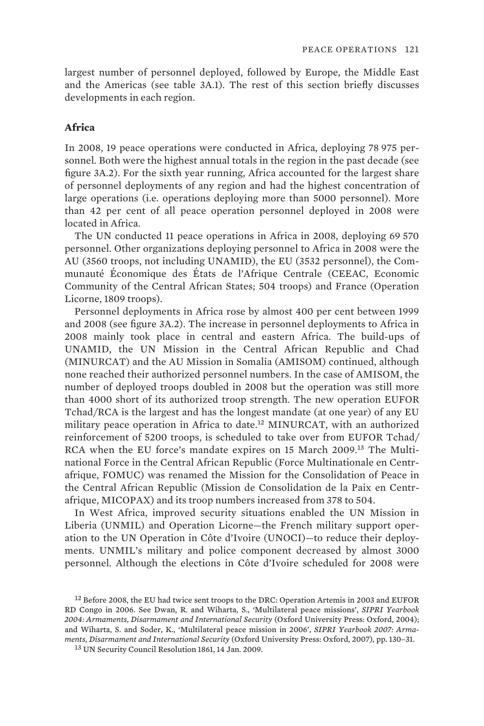largest number of personnel deployed, followed by Europe, the Middle East and the Americas (see table 3A.1). The rest of this section briefly discusses developments in each region.

#### **Africa**

In 2008, 19 peace operations were conducted in Africa, deploying 78 975 personnel. Both were the highest annual totals in the region in the past decade (see figure 3A.2). For the sixth year running, Africa accounted for the largest share of personnel deployments of any region and had the highest concentration of large operations (i.e. operations deploying more than 5000 personnel). More than 42 per cent of all peace operation personnel deployed in 2008 were located in Africa.

The UN conducted 11 peace operations in Africa in 2008, deploying 69 570 personnel. Other organizations deploying personnel to Africa in 2008 were the AU (3560 troops, not including UNAMID), the EU (3532 personnel), the Communauté Économique des États de l'Afrique Centrale (CEEAC, Economic Community of the Central African States; 504 troops) and France (Operation Licorne, 1809 troops).

Personnel deployments in Africa rose by almost 400 per cent between 1999 and 2008 (see figure 3A.2). The increase in personnel deployments to Africa in 2008 mainly took place in central and eastern Africa. The build-ups of UNAMID, the UN Mission in the Central African Republic and Chad (MINURCAT) and the AU Mission in Somalia (AMISOM) continued, although none reached their authorized personnel numbers. In the case of AMISOM, the number of deployed troops doubled in 2008 but the operation was still more than 4000 short of its authorized troop strength. The new operation EUFOR Tchad/RCA is the largest and has the longest mandate (at one year) of any EU military peace operation in Africa to date.<sup>12</sup> MINURCAT, with an authorized reinforcement of 5200 troops, is scheduled to take over from EUFOR Tchad/ RCA when the EU force's mandate expires on 15 March 2009.<sup>13</sup> The Multinational Force in the Central African Republic (Force Multinationale en Centrafrique, FOMUC) was renamed the Mission for the Consolidation of Peace in the Central African Republic (Mission de Consolidation de la Paix en Centrafrique, MICOPAX) and its troop numbers increased from 378 to 504.

In West Africa, improved security situations enabled the UN Mission in Liberia (UNMIL) and Operation Licorne—the French military support operation to the UN Operation in Côte d'Ivoire (UNOCI)—to reduce their deployments. UNMIL's military and police component decreased by almost 3000 personnel. Although the elections in Côte d'Ivoire scheduled for 2008 were

13 UN Security Council Resolution 1861, 14 Jan. 2009.

<sup>12</sup> Before 2008, the EU had twice sent troops to the DRC: Operation Artemis in 2003 and EUFOR RD Congo in 2006. See Dwan, R. and Wiharta, S., 'Multilateral peace missions', *SIPRI Yearbook 2004: Armaments, Disarmament and International Security* (Oxford University Press: Oxford, 2004); and Wiharta, S. and Soder, K., 'Multilateral peace mission in 2006', *SIPRI Yearbook 2007: Armaments, Disarmament and International Security* (Oxford University Press: Oxford, 2007), pp. 130–31.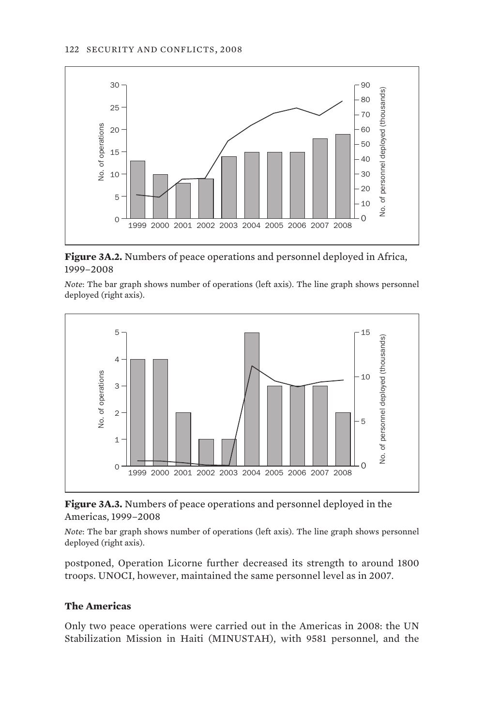

**Figure 3A.2.** Numbers of peace operations and personnel deployed in Africa, 1999–2008

*Note*: The bar graph shows number of operations (left axis). The line graph shows personnel deployed (right axis).



**Figure 3A.3.** Numbers of peace operations and personnel deployed in the Americas, 1999–2008

*Note*: The bar graph shows number of operations (left axis). The line graph shows personnel deployed (right axis).

postponed, Operation Licorne further decreased its strength to around 1800 troops. UNOCI, however, maintained the same personnel level as in 2007.

## **The Americas**

Only two peace operations were carried out in the Americas in 2008: the UN Stabilization Mission in Haiti (MINUSTAH), with 9581 personnel, and the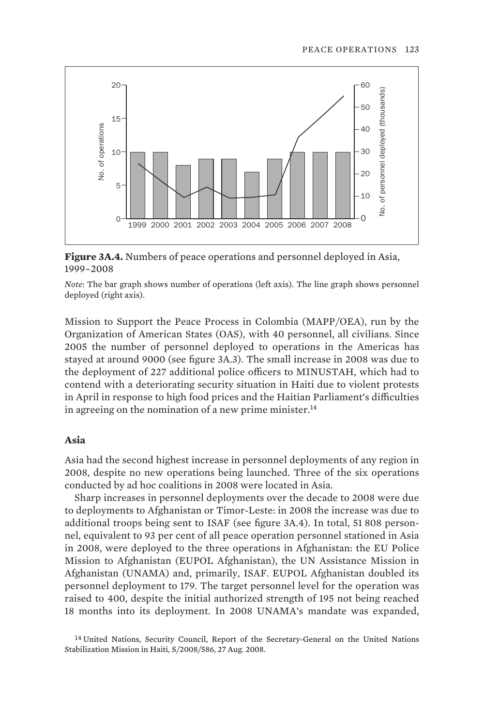

**Figure 3A.4.** Numbers of peace operations and personnel deployed in Asia, 1999–2008

*Note*: The bar graph shows number of operations (left axis). The line graph shows personnel deployed (right axis).

Mission to Support the Peace Process in Colombia (MAPP/OEA), run by the Organization of American States (OAS), with 40 personnel, all civilians. Since 2005 the number of personnel deployed to operations in the Americas has stayed at around 9000 (see figure 3A.3). The small increase in 2008 was due to the deployment of 227 additional police officers to MINUSTAH, which had to contend with a deteriorating security situation in Haiti due to violent protests in April in response to high food prices and the Haitian Parliament's difficulties in agreeing on the nomination of a new prime minister. $^{14}$ 

#### **Asia**

Asia had the second highest increase in personnel deployments of any region in 2008, despite no new operations being launched. Three of the six operations conducted by ad hoc coalitions in 2008 were located in Asia.

Sharp increases in personnel deployments over the decade to 2008 were due to deployments to Afghanistan or Timor-Leste: in 2008 the increase was due to additional troops being sent to ISAF (see figure 3A.4). In total, 51 808 personnel, equivalent to 93 per cent of all peace operation personnel stationed in Asia in 2008, were deployed to the three operations in Afghanistan: the EU Police Mission to Afghanistan (EUPOL Afghanistan), the UN Assistance Mission in Afghanistan (UNAMA) and, primarily, ISAF. EUPOL Afghanistan doubled its personnel deployment to 179. The target personnel level for the operation was raised to 400, despite the initial authorized strength of 195 not being reached 18 months into its deployment. In 2008 UNAMA's mandate was expanded,

<sup>14</sup> United Nations, Security Council, Report of the Secretary-General on the United Nations Stabilization Mission in Haiti, S/2008/586, 27 Aug. 2008.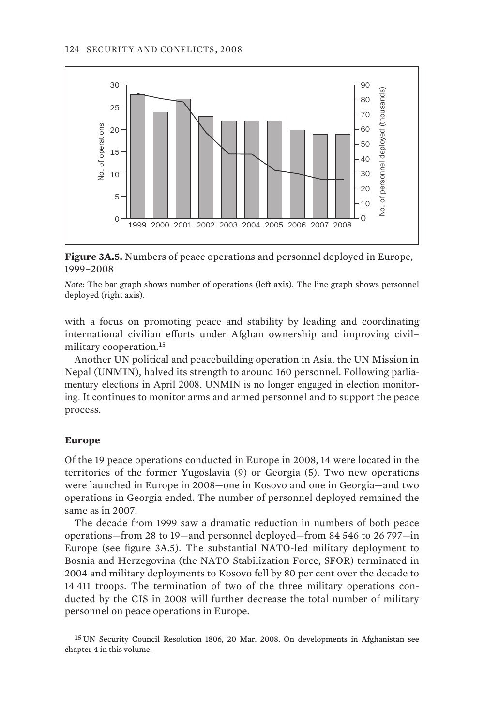

**Figure 3A.5.** Numbers of peace operations and personnel deployed in Europe, 1999–2008

*Note*: The bar graph shows number of operations (left axis). The line graph shows personnel deployed (right axis).

with a focus on promoting peace and stability by leading and coordinating international civilian efforts under Afghan ownership and improving civil– military cooperation.<sup>15</sup>

Another UN political and peacebuilding operation in Asia, the UN Mission in Nepal (UNMIN), halved its strength to around 160 personnel. Following parliamentary elections in April 2008, UNMIN is no longer engaged in election monitoring. It continues to monitor arms and armed personnel and to support the peace process.

#### **Europe**

Of the 19 peace operations conducted in Europe in 2008, 14 were located in the territories of the former Yugoslavia (9) or Georgia (5). Two new operations were launched in Europe in 2008—one in Kosovo and one in Georgia—and two operations in Georgia ended. The number of personnel deployed remained the same as in 2007.

The decade from 1999 saw a dramatic reduction in numbers of both peace operations—from 28 to 19—and personnel deployed—from 84 546 to 26 797—in Europe (see figure 3A.5). The substantial NATO-led military deployment to Bosnia and Herzegovina (the NATO Stabilization Force, SFOR) terminated in 2004 and military deployments to Kosovo fell by 80 per cent over the decade to 14 411 troops. The termination of two of the three military operations conducted by the CIS in 2008 will further decrease the total number of military personnel on peace operations in Europe.

15 UN Security Council Resolution 1806, 20 Mar. 2008. On developments in Afghanistan see chapter 4 in this volume.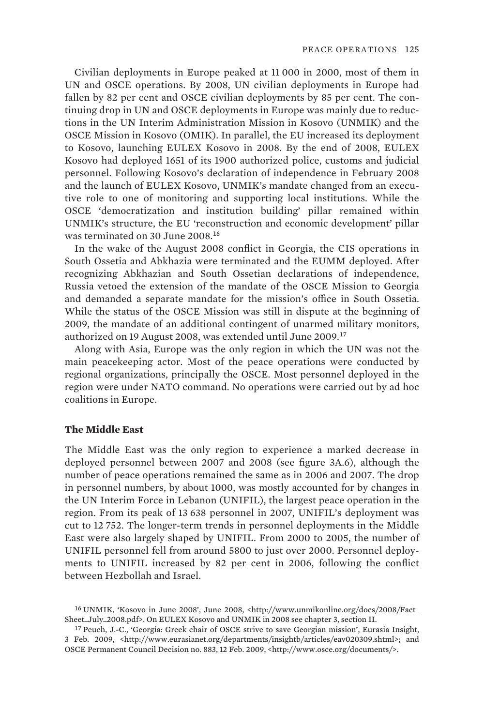Civilian deployments in Europe peaked at 11 000 in 2000, most of them in UN and OSCE operations. By 2008, UN civilian deployments in Europe had fallen by 82 per cent and OSCE civilian deployments by 85 per cent. The continuing drop in UN and OSCE deployments in Europe was mainly due to reductions in the UN Interim Administration Mission in Kosovo (UNMIK) and the OSCE Mission in Kosovo (OMIK). In parallel, the EU increased its deployment to Kosovo, launching EULEX Kosovo in 2008. By the end of 2008, EULEX Kosovo had deployed 1651 of its 1900 authorized police, customs and judicial personnel. Following Kosovo's declaration of independence in February 2008 and the launch of EULEX Kosovo, UNMIK's mandate changed from an executive role to one of monitoring and supporting local institutions. While the OSCE 'democratization and institution building' pillar remained within UNMIK's structure, the EU 'reconstruction and economic development' pillar was terminated on 30 June 2008.<sup>16</sup>

In the wake of the August 2008 conflict in Georgia, the CIS operations in South Ossetia and Abkhazia were terminated and the EUMM deployed. After recognizing Abkhazian and South Ossetian declarations of independence, Russia vetoed the extension of the mandate of the OSCE Mission to Georgia and demanded a separate mandate for the mission's office in South Ossetia. While the status of the OSCE Mission was still in dispute at the beginning of 2009, the mandate of an additional contingent of unarmed military monitors, authorized on 19 August 2008, was extended until June 2009.<sup>17</sup>

Along with Asia, Europe was the only region in which the UN was not the main peacekeeping actor. Most of the peace operations were conducted by regional organizations, principally the OSCE. Most personnel deployed in the region were under NATO command. No operations were carried out by ad hoc coalitions in Europe.

#### **The Middle East**

The Middle East was the only region to experience a marked decrease in deployed personnel between 2007 and 2008 (see figure 3A.6), although the number of peace operations remained the same as in 2006 and 2007. The drop in personnel numbers, by about 1000, was mostly accounted for by changes in the UN Interim Force in Lebanon (UNIFIL), the largest peace operation in the region. From its peak of 13 638 personnel in 2007, UNIFIL's deployment was cut to 12 752. The longer-term trends in personnel deployments in the Middle East were also largely shaped by UNIFIL. From 2000 to 2005, the number of UNIFIL personnel fell from around 5800 to just over 2000. Personnel deployments to UNIFIL increased by 82 per cent in 2006, following the conflict between Hezbollah and Israel.

<sup>16</sup> UNMIK, 'Kosovo in June 2008', June 2008, <http://www.unmikonline.org/docs/2008/Fact\_ Sheet\_July\_2008.pdf>. On EULEX Kosovo and UNMIK in 2008 see chapter 3, section II.

<sup>17</sup> Peuch, J.-C., 'Georgia: Greek chair of OSCE strive to save Georgian mission', Eurasia Insight, 3 Feb. 2009, <http://www.eurasianet.org/departments/insightb/articles/eav020309.shtml>; and OSCE Permanent Council Decision no. 883, 12 Feb. 2009, <http://www.osce.org/documents/>.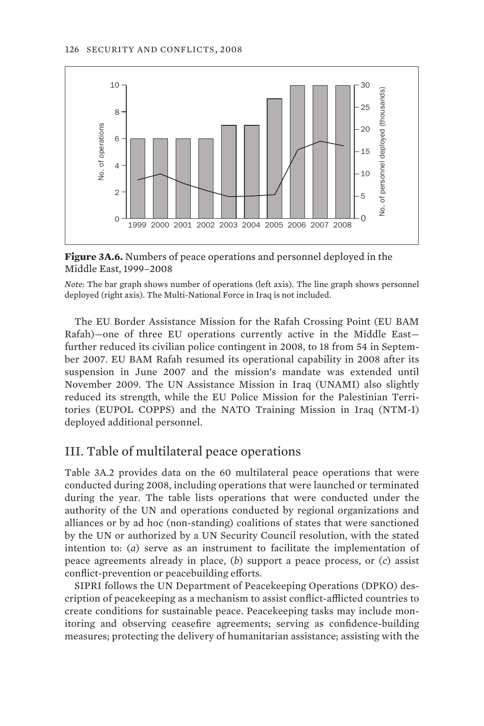

**Figure 3A.6.** Numbers of peace operations and personnel deployed in the Middle East, 1999–2008

*Note*: The bar graph shows number of operations (left axis). The line graph shows personnel deployed (right axis). The Multi-National Force in Iraq is not included.

The EU Border Assistance Mission for the Rafah Crossing Point (EU BAM Rafah)—one of three EU operations currently active in the Middle East further reduced its civilian police contingent in 2008, to 18 from 54 in September 2007. EU BAM Rafah resumed its operational capability in 2008 after its suspension in June 2007 and the mission's mandate was extended until November 2009. The UN Assistance Mission in Iraq (UNAMI) also slightly reduced its strength, while the EU Police Mission for the Palestinian Territories (EUPOL COPPS) and the NATO Training Mission in Iraq (NTM-I) deployed additional personnel.

# III. Table of multilateral peace operations

Table 3A.2 provides data on the 60 multilateral peace operations that were conducted during 2008, including operations that were launched or terminated during the year. The table lists operations that were conducted under the authority of the UN and operations conducted by regional organizations and alliances or by ad hoc (non-standing) coalitions of states that were sanctioned by the UN or authorized by a UN Security Council resolution, with the stated intention to: (*a*) serve as an instrument to facilitate the implementation of peace agreements already in place, (*b*) support a peace process, or (*c*) assist conflict-prevention or peacebuilding efforts.

SIPRI follows the UN Department of Peacekeeping Operations (DPKO) description of peacekeeping as a mechanism to assist conflict-afflicted countries to create conditions for sustainable peace. Peacekeeping tasks may include monitoring and observing ceasefire agreements; serving as confidence-building measures; protecting the delivery of humanitarian assistance; assisting with the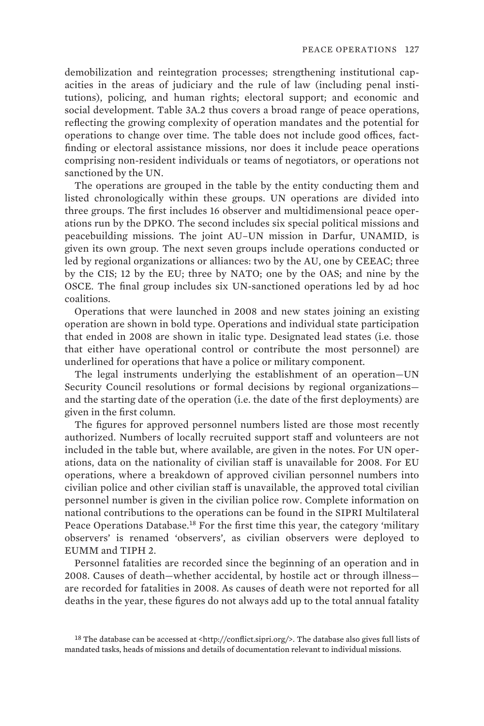demobilization and reintegration processes; strengthening institutional capacities in the areas of judiciary and the rule of law (including penal institutions), policing, and human rights; electoral support; and economic and social development. Table 3A.2 thus covers a broad range of peace operations, reflecting the growing complexity of operation mandates and the potential for operations to change over time. The table does not include good offices, factfinding or electoral assistance missions, nor does it include peace operations comprising non-resident individuals or teams of negotiators, or operations not sanctioned by the UN.

The operations are grouped in the table by the entity conducting them and listed chronologically within these groups. UN operations are divided into three groups. The first includes 16 observer and multidimensional peace operations run by the DPKO. The second includes six special political missions and peacebuilding missions. The joint AU–UN mission in Darfur, UNAMID, is given its own group. The next seven groups include operations conducted or led by regional organizations or alliances: two by the AU, one by CEEAC; three by the CIS; 12 by the EU; three by NATO; one by the OAS; and nine by the OSCE. The final group includes six UN-sanctioned operations led by ad hoc coalitions.

Operations that were launched in 2008 and new states joining an existing operation are shown in bold type. Operations and individual state participation that ended in 2008 are shown in italic type. Designated lead states (i.e. those that either have operational control or contribute the most personnel) are underlined for operations that have a police or military component.

The legal instruments underlying the establishment of an operation—UN Security Council resolutions or formal decisions by regional organizations and the starting date of the operation (i.e. the date of the first deployments) are given in the first column.

The figures for approved personnel numbers listed are those most recently authorized. Numbers of locally recruited support staff and volunteers are not included in the table but, where available, are given in the notes. For UN operations, data on the nationality of civilian staff is unavailable for 2008. For EU operations, where a breakdown of approved civilian personnel numbers into civilian police and other civilian staff is unavailable, the approved total civilian personnel number is given in the civilian police row. Complete information on national contributions to the operations can be found in the SIPRI Multilateral Peace Operations Database.<sup>18</sup> For the first time this year, the category 'military observers' is renamed 'observers', as civilian observers were deployed to EUMM and TIPH 2.

Personnel fatalities are recorded since the beginning of an operation and in 2008. Causes of death—whether accidental, by hostile act or through illness are recorded for fatalities in 2008. As causes of death were not reported for all deaths in the year, these figures do not always add up to the total annual fatality

<sup>&</sup>lt;sup>18</sup> The database can be accessed at <http://conflict.sipri.org/>. The database also gives full lists of mandated tasks, heads of missions and details of documentation relevant to individual missions.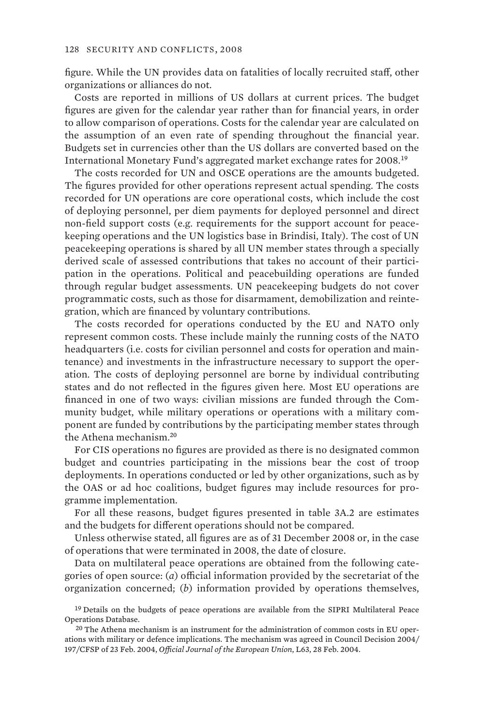figure. While the UN provides data on fatalities of locally recruited staff, other organizations or alliances do not.

Costs are reported in millions of US dollars at current prices. The budget figures are given for the calendar year rather than for financial years, in order to allow comparison of operations. Costs for the calendar year are calculated on the assumption of an even rate of spending throughout the financial year. Budgets set in currencies other than the US dollars are converted based on the International Monetary Fund's aggregated market exchange rates for 2008.<sup>19</sup>

The costs recorded for UN and OSCE operations are the amounts budgeted. The figures provided for other operations represent actual spending. The costs recorded for UN operations are core operational costs, which include the cost of deploying personnel, per diem payments for deployed personnel and direct non-field support costs (e.g. requirements for the support account for peacekeeping operations and the UN logistics base in Brindisi, Italy). The cost of UN peacekeeping operations is shared by all UN member states through a specially derived scale of assessed contributions that takes no account of their participation in the operations. Political and peacebuilding operations are funded through regular budget assessments. UN peacekeeping budgets do not cover programmatic costs, such as those for disarmament, demobilization and reintegration, which are financed by voluntary contributions.

The costs recorded for operations conducted by the EU and NATO only represent common costs. These include mainly the running costs of the NATO headquarters (i.e. costs for civilian personnel and costs for operation and maintenance) and investments in the infrastructure necessary to support the operation. The costs of deploying personnel are borne by individual contributing states and do not reflected in the figures given here. Most EU operations are financed in one of two ways: civilian missions are funded through the Community budget, while military operations or operations with a military component are funded by contributions by the participating member states through the Athena mechanism.<sup>20</sup>

For CIS operations no figures are provided as there is no designated common budget and countries participating in the missions bear the cost of troop deployments. In operations conducted or led by other organizations, such as by the OAS or ad hoc coalitions, budget figures may include resources for programme implementation.

For all these reasons, budget figures presented in table 3A.2 are estimates and the budgets for different operations should not be compared.

Unless otherwise stated, all figures are as of 31 December 2008 or, in the case of operations that were terminated in 2008, the date of closure.

Data on multilateral peace operations are obtained from the following categories of open source: (*a*) official information provided by the secretariat of the organization concerned; (*b*) information provided by operations themselves,

<sup>&</sup>lt;sup>19</sup> Details on the budgets of peace operations are available from the SIPRI Multilateral Peace Operations Database.

 $20$  The Athena mechanism is an instrument for the administration of common costs in EU operations with military or defence implications. The mechanism was agreed in Council Decision 2004/ 197/CFSP of 23 Feb. 2004, *Official Journal of the European Union*, L63, 28 Feb. 2004.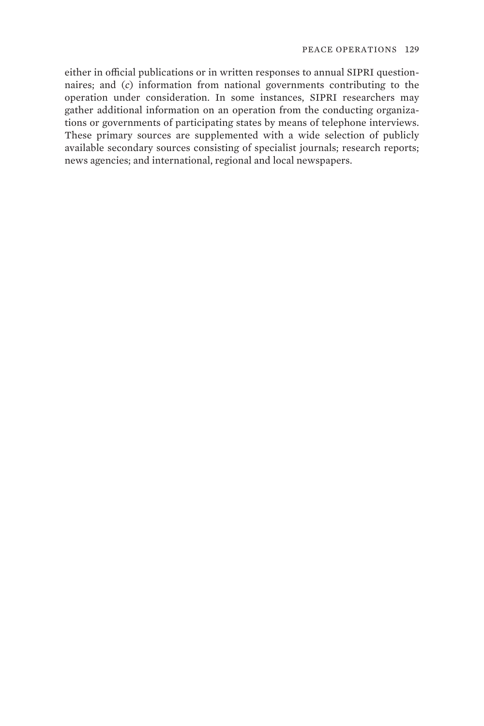either in official publications or in written responses to annual SIPRI questionnaires; and (*c*) information from national governments contributing to the operation under consideration. In some instances, SIPRI researchers may gather additional information on an operation from the conducting organizations or governments of participating states by means of telephone interviews. These primary sources are supplemented with a wide selection of publicly available secondary sources consisting of specialist journals; research reports; news agencies; and international, regional and local newspapers.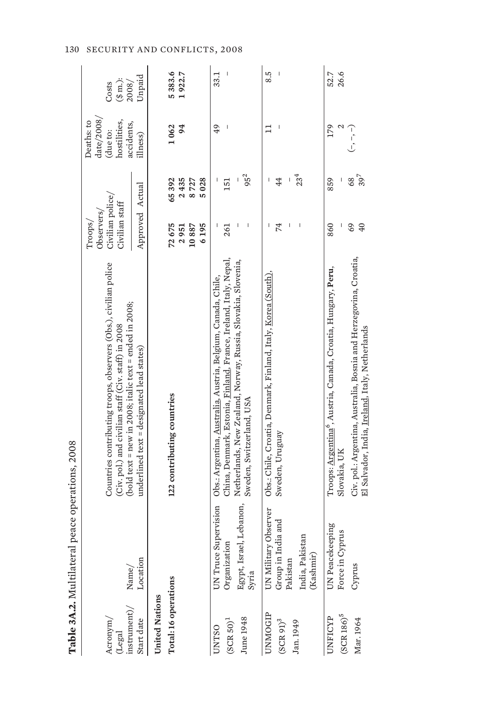|                                                                                                                 | Table 3A.2. Multilateral peace operations, 2008 |                                                                                                                                                                                   |                                                             |                      |                                                                                    |                              |
|-----------------------------------------------------------------------------------------------------------------|-------------------------------------------------|-----------------------------------------------------------------------------------------------------------------------------------------------------------------------------------|-------------------------------------------------------------|----------------------|------------------------------------------------------------------------------------|------------------------------|
| $\frac{1}{2}$<br>Acronym/<br>$(\mathbf{Legal}% \times\mathbf{C})\otimes\mathbf{C}^{\prime}=\mathbf{C}^{\prime}$ | Name/                                           | Countries contributing troops, observers (Obs.), civilian police<br>(bold text = new in 2008; italic text = ended in 2008;<br>(Civ. pol.) and civilian staff (Civ. staff) in 2008 | Civilian police/<br>Civilian staff<br>Observers/<br>Troops/ |                      | $\frac{\text{date}}{2008}$<br>hostilities,<br>Deaths: to<br>accidents,<br>(due to: | $(\$ m.):$<br>Costs<br>2008/ |
| Start date                                                                                                      | Location                                        | underlined text = designated lead states)                                                                                                                                         | Approved Actual                                             |                      | illness)                                                                           | Unpaid                       |
| <b>United Nations</b>                                                                                           |                                                 |                                                                                                                                                                                   |                                                             |                      |                                                                                    |                              |
| Total: 16 operations                                                                                            |                                                 | 122 contributing countries                                                                                                                                                        | 72675                                                       | 65392                | 1062                                                                               | 5383.6                       |
|                                                                                                                 |                                                 |                                                                                                                                                                                   | 10887<br>6195<br>2951                                       | 2435<br>8727<br>5028 | 94                                                                                 | 1922.7                       |
| <b>UNTSO</b>                                                                                                    | UN Truce Supervision                            | Obs.: Argentina, Australia, Austria, Belgium, Canada, Chile,                                                                                                                      |                                                             |                      | 49                                                                                 | 33.1                         |
| $(SCR 50)^1$                                                                                                    | Organization                                    | China, Denmark, Estonia, Finland, France, Ireland, Italy, Nepal,                                                                                                                  | 261                                                         | 151                  |                                                                                    |                              |
|                                                                                                                 |                                                 | Netherlands, New Zealand, Norway, Russia, Slovakia, Slovenia,                                                                                                                     |                                                             |                      |                                                                                    |                              |
| June 1948                                                                                                       | Egypt, Israel, Lebanon,<br>Syria                | Sweden, Switzerland, USA                                                                                                                                                          |                                                             | $95^{2}$             |                                                                                    |                              |
| UNMOGIP                                                                                                         | UN Military Observer                            | Obs.: Chile, Croatia, Denmark, Finland, Italy, <u>Korea (South)</u>                                                                                                               | I                                                           |                      | ≓                                                                                  | 8.5                          |
| $\rm (SCR~91)^3$                                                                                                | India and<br>Group in                           | Sweden, Uruguay                                                                                                                                                                   | 74                                                          | 44                   |                                                                                    |                              |
|                                                                                                                 | Pakistan                                        |                                                                                                                                                                                   | I                                                           | I                    |                                                                                    |                              |
| Jan. 1949                                                                                                       | India, Pakistan<br>(Kashmir)                    |                                                                                                                                                                                   |                                                             | $23^{4}$             |                                                                                    |                              |
| UNFICYP                                                                                                         | UN Peacekeeping                                 | Troops: Argentina <sup>o</sup> , Austria, Canada, Croatia, Hungary, Peru,                                                                                                         | 860                                                         | 859                  | 179                                                                                | 52.7                         |
| $(SCR 186)^5$                                                                                                   | Force in Cyprus                                 | Slovakia, UK                                                                                                                                                                      |                                                             |                      |                                                                                    | 26.6                         |
| Mar. 1964                                                                                                       | Cyprus                                          | Civ. pol.: Argentina, Australia, Bosnia and Herzegovina, Croatia,<br>El Salvador, India, <u>Ireland</u> , Italy, Netherlands                                                      | 69<br>40                                                    | $39^{7}$<br>68       | $(-,-)$                                                                            |                              |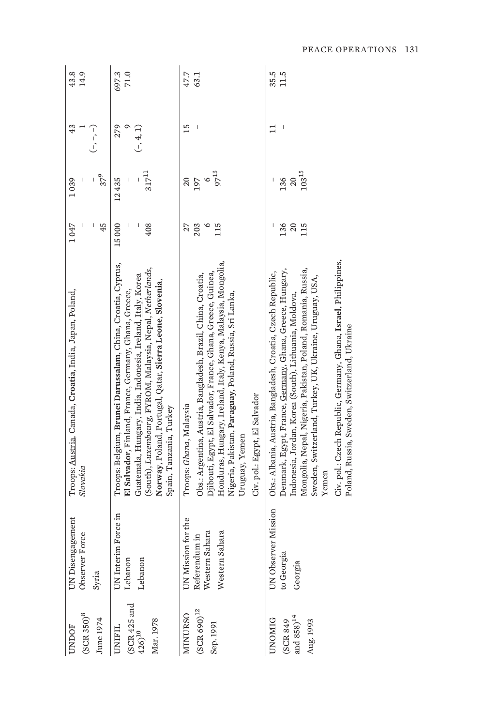| $(SCR350)^8$<br>June 1974<br><b>UNDOF</b>                             | UN Disengagement<br>Force<br>Observer <sup>1</sup><br>Syria             | Troops: Austria, Canada, Croatia, India, Japan, Poland,<br>Slovakia                                                                                                                                                                                                                                                                                                                                                                      | 1047<br>45                  | $37^{9}$<br>1039                                     | 43<br>「、「          | 43.8<br>14.9  |
|-----------------------------------------------------------------------|-------------------------------------------------------------------------|------------------------------------------------------------------------------------------------------------------------------------------------------------------------------------------------------------------------------------------------------------------------------------------------------------------------------------------------------------------------------------------------------------------------------------------|-----------------------------|------------------------------------------------------|--------------------|---------------|
| ${\rm (SCR~425~and} \atop {\rm 426)}^{\rm 10}$<br>Mar. 1978<br>UNIFIL | m Force in<br>UN Interi<br>Lebanon<br>Lebanon                           | Troops: Belgium, Brunei Darussalam, China, Croatia, Cyprus,<br>(South), Luxembourg, FYROM, Malaysia, Nepal, Netherlands,<br>Guatemala, Hungary, India, Indonesia, Ireland, Italy, Korea<br>Norway, Poland, Portugal, Qatar, Sierra Leone, Slovenia,<br>El Salvador, Finland, France, Germany, Ghana, Greece,<br>Spain, Tanzania, Turkey                                                                                                  | 15000<br>I<br>408           | $317^{\rm 11}$<br>12435                              | $(-, 4, 1)$<br>279 | 697.3<br>71.0 |
| $(SCR 690)^{12}$<br><b>MINURSO</b><br>Sep. 1991                       | UN Mission for the<br>Western Sahara<br>Western Sahara<br>Referendum in | Honduras, Hungary, Ireland, Italy, Kenya, Malaysia, Mongolia,<br>Djibouti, Egypt, El Salvador, France, Ghana, Greece, Guinea,<br>Obs.: Argentina, Austria, Bangladesh, Brazil, China, Croatia,<br>Nigeria, Pakistan, Paraguay, Poland, <u>Russia,</u> Sri Lanka,<br>Civ. pol.: Egypt, El Salvador<br>Troops: Ghana, Malaysia<br>Uruguay, Yemen                                                                                           | 203<br>$\circ$<br>115<br>27 | 97 <sup>13</sup><br>$\circ$<br>197<br>$\overline{c}$ | 15                 | 47.7<br>63.1  |
| and $858)^{14}$<br><b>UNOMIG</b><br>Aug. 1993<br>(SCR 849             | UN Observer Mission<br>to Georgia<br>Georgia                            | Civ. pol.: Czech Republic, Germany, Ghana, Israel, Philippines,<br>Denmark, Egypt, France, Germany, Ghana, Greece, Hungary,<br>Mongolia, Nepal, Nigeria, Pakistan, Poland, Romania, Russia,<br>Obs.: Albania, Austria, Bangladesh, Croatia, Czech Republic,<br>Sweden, Switzerland, Turkey, UK, Ukraine, Uruguay, USA,<br>Indonesia, Jordan, Korea (South), Lithuania, Moldova,<br>Poland, Russia, Sweden, Switzerland, Ukraine<br>Yemen | 136<br>20<br>115            | $103\,^{15}$<br>136<br>20                            | ነ                  | 11.5<br>35.5  |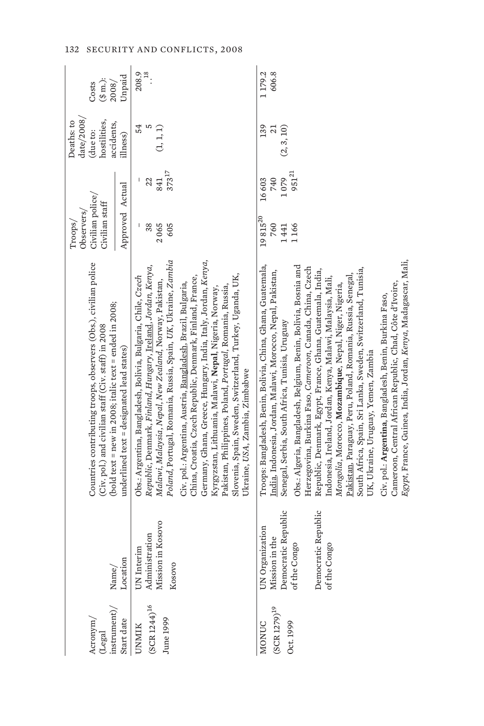| instrument)/<br>Acronym,<br>$(\mathbf{Legal}$  | Name/                                                                                                           | Countries contributing troops, observers (Obs.), civilian police<br>(bold text = new in 2008; italic text = ended in 2008;<br>(Civ. pol.) and civilian staff (Civ. staff) in 2008                                                                                                                                                                                                                                                                                                                                                                                                                                                                                                                                                                                                                                                                                 | Civilian police/<br>Civilian staff<br>Observers/<br>Troops/                 | $\frac{\text{date}}{2008}$<br>hostilities,<br>Deaths: to<br>accidents,<br>due to: | $(\$ m.):$<br>2008/<br>Costs                |
|------------------------------------------------|-----------------------------------------------------------------------------------------------------------------|-------------------------------------------------------------------------------------------------------------------------------------------------------------------------------------------------------------------------------------------------------------------------------------------------------------------------------------------------------------------------------------------------------------------------------------------------------------------------------------------------------------------------------------------------------------------------------------------------------------------------------------------------------------------------------------------------------------------------------------------------------------------------------------------------------------------------------------------------------------------|-----------------------------------------------------------------------------|-----------------------------------------------------------------------------------|---------------------------------------------|
| Start date                                     | Location                                                                                                        | $underline{d}$ text = $designed$ lead states)                                                                                                                                                                                                                                                                                                                                                                                                                                                                                                                                                                                                                                                                                                                                                                                                                     | Approved Actual                                                             | llness)                                                                           | Unpaid                                      |
| $(SCR 1244)^{16}$<br>June 1999<br>UNMIK        | Mission in Kosovo<br>Administration<br>UN Interim<br>Kosovo                                                     | Poland, Portugal, Romania, Russia, Spain, UK, Ukraine, Zambia<br>Republic, Denmark, Finland, Hungary, Ireland, Jordan, Kenya,<br>Obs.: Argentina, Bangladesh, Bolivia, Bulgaria, Chile, Czech<br>Malawi, Malaysia, Nepal, New Zealand, Norway, Pakistan,                                                                                                                                                                                                                                                                                                                                                                                                                                                                                                                                                                                                          | $373^{17}$<br>22<br>841<br>38<br>2065<br>605                                | 54<br>S<br>(1, 1, 1)                                                              | $\cdot \overset{\text{as}}{\cdot}$<br>208.9 |
|                                                |                                                                                                                 | Germany, Ghana, Greece, Hungary, India, Italy, Jordan, Kenya,<br>Slovenia, Spain, Sweden, Switzerland, Turkey, Uganda, UK,<br>China, Croatia, Czech Republic, Denmark, Finland, France,<br>Civ. pol.: Argentina, Austria, Bangladesh, Brazil, Bulgaria,<br>Pakistan, Philippines, Poland, Portugal, Romania, Russia,<br>Kyrgyzstan, Lithuania, Malawi, Nepal, Nigeria, Norway,<br>Ukraine, USA, Zambia, Zimbabwe                                                                                                                                                                                                                                                                                                                                                                                                                                                  |                                                                             |                                                                                   |                                             |
| $(SCR 1279)^{19}$<br>Oct. 1999<br><b>MONUC</b> | Democratic Republic<br>Democratic Republic<br>UN Organization<br>Mission in the<br>of the Congo<br>of the Congo | Egypt, France, Guinea, India, Jordan, Kenya, Madagascar, Mali,<br>Troops: Bangladesh, Benin, Bolivia, China, Ghana, Guatemala,<br>Obs.: Algeria, Bangladesh, Belgium, Benin, Bolivia, Bosnia and<br>Herzegovina, Burkina Faso, Cameroon, Canada, China, Czech<br>South Africa, Spain, Sri Lanka, Sweden, Switzerland, Tunisia,<br>India, Indonesia, Jordan, Malawi, Morocco, Nepal, Pakistan,<br>Republic, Denmark, Egypt, France, Ghana, Guatemala, India,<br>Pakistan, Paraguay, Peru, Poland, Romania, Russia, Senegal,<br>Indonesia, Ireland, Jordan, Kenya, Malawi, Malaysia, Mali,<br>Cameroon, Central African Republic, Chad, Côte d'Ivoire,<br>Mongolia, Morocco, Mozambique, Nepal, Niger, Nigeria,<br>Civ. pol.: Argentina, Bangladesh, Benin, Burkina Faso,<br>Senegal, Serbia, South Africa, Tunisia, Uruguay<br>UK, Ukraine, Uruguay, Yemen, Zambia | $951^{21}$<br>1079<br>16603<br>740<br>$19\,815^{20}$<br>760<br>1166<br>1441 | 139<br>(2, 3, 10)<br>$\overline{c}$                                               | 606.8<br>1179.2                             |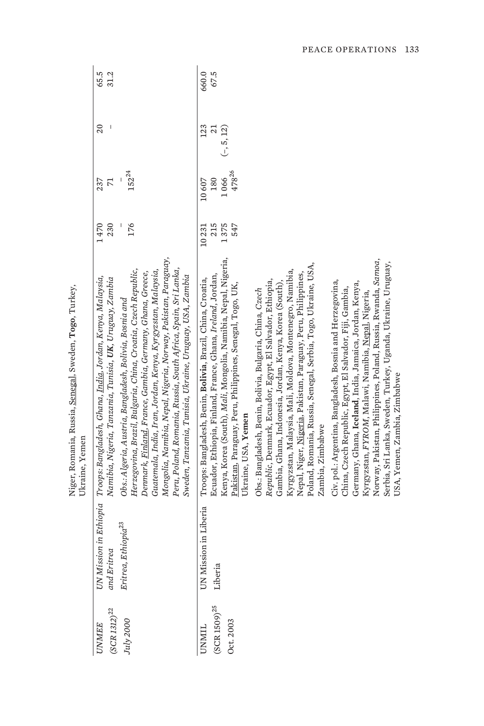|                                     |                                       | Niger, Romania, Russia, Senegal, Sweden, Togo, Turkey,<br>Ukraine, Yemen                                                                                                                                                                                                                                                                                                                                                                               |              |                       |                        |               |
|-------------------------------------|---------------------------------------|--------------------------------------------------------------------------------------------------------------------------------------------------------------------------------------------------------------------------------------------------------------------------------------------------------------------------------------------------------------------------------------------------------------------------------------------------------|--------------|-----------------------|------------------------|---------------|
| $(SCR\,1312)^{22}$<br><b>JNMEE</b>  | UN Mission in Ethiopia<br>and Eritrea | Troops: Bangladesh, Ghana, India, Jordan, Kenya, Malaysia,<br>Namibia, Nigeria, Tanzania, Tunisia, <b>UK</b> , Uruguay, Zambia                                                                                                                                                                                                                                                                                                                         | 1470<br>230  | $\overline{7}$<br>237 | 20                     | 65.5<br>31.2  |
| July 2000                           | Eritrea, Ethiopia <sup>23</sup>       | Mongolia, Namibia, Nepal, Nigeria, Norway, Pakistan, Paraguay,<br>Peru, Poland, Romania, Russia, South Africa, Spain, Sri Lanka,<br>Herzegovina, Brazil, Bulgaria, China, Croatia, Czech Republic,<br>Guatemala, India, Iran, Jordan, Kenya, Kyrgyzstan, Malaysia,<br>Denmark, Finland, France, Gambia, Germany, Ghana, Greece,<br>Sweden, Tanzania, Tunisia, Ukraine, Uruguay, USA, Zambia<br>Obs.: Algeria, Austria, Bangladesh, Bolivia, Bosnia and | 176          | $152^{24}$            |                        |               |
| <b>TIMML</b>                        | UN Mission in Liberia                 | Ecuador, Ethiopia, Finland, France, Ghana, Ireland, Jordan,<br>Troops: Bangladesh, Benin, Bolivia, Brazil, China, Croatia,                                                                                                                                                                                                                                                                                                                             | 215<br>10231 | 180<br>10607          | 123<br>$\overline{21}$ | 660.0<br>67.5 |
| $\rm (SCR\,1509)^{25}$<br>Oct. 2003 | Liberia                               | Kenya, Korea (South), Mali, Mongolia, Namibia, Nepal, Nigeria,<br>Pakistan, Paraguay, Peru, Philippines, Senegal, Togo, UK,<br>Ukraine, USA, Yemen                                                                                                                                                                                                                                                                                                     | 1375<br>547  | 47826<br>1066         | $(-, 5, 12)$           |               |
|                                     |                                       | Poland, Romania, Russia, Senegal, Serbia, Togo, Ukraine, USA,<br>Kyrgyzstan, Malaysia, Mali, Moldova, Montenegro, Namibia,<br>Nepal, Niger, Nigeria, Pakistan, Paraguay, Peru, Philippines,<br>Republic, Denmark, Ecuador, Egypt, El Salvador, Ethiopia,<br>Gambia, Ghana, Indonesia, Jordan, Kenya, Korea (South),<br>Obs.: Bangladesh, Benin, Bolivia, Bulgaria, China, Czech<br>Zambia, Zimbabwe                                                    |              |                       |                        |               |
|                                     |                                       | Norway, Pakistan, Philippines, Poland, Russia, Rwanda, Samoa,<br>Serbia, Sri Lanka, Sweden, Turkey, Uganda, Ukraine, Uruguay,<br>Civ. pol.: Argentina, Bangladesh, Bosnia and Herzegovina,<br>Germany, Ghana, Iceland, India, Jamaica, Jordan, Kenya,<br>China, Czech Republic, Egypt, El Salvador, Fiji, Gambia,<br>Kyrgyzstan, FYROM, Malawi, Namibia, <u>Nepal</u> , Nigeria,<br>USA, Yemen, Zambia, Zimbabwe                                       |              |                       |                        |               |

PEACE OPERATIONS 133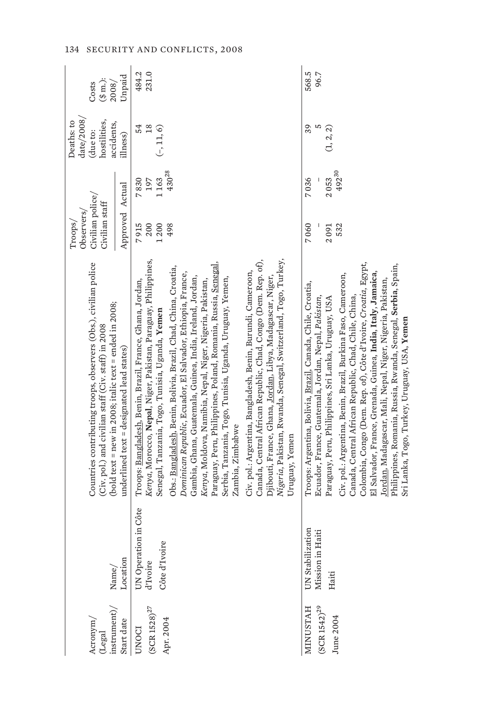| $(\mathtt{Legal}$ instrument)/<br>Acronym/             |                                                             | Countries contributing troops, observers (Obs.), civilian police<br>(bold text = new in 2008; italic text = ended in 2008;<br>(Civ. pol.) and civilian staff (Civ. staff) in 2008                                                                                                                                                                                                                                                                                                                                                                                                                                                                                                                                                                                                                                                                                                                    | Civilian police/<br>Civilian staff<br>Observers/<br>Troops/ |                                   | date/2008<br>hostilities,<br>Deaths: to<br>accidents,<br>(due to: | $(\$$ m.):<br>Costs<br>2008/ |
|--------------------------------------------------------|-------------------------------------------------------------|------------------------------------------------------------------------------------------------------------------------------------------------------------------------------------------------------------------------------------------------------------------------------------------------------------------------------------------------------------------------------------------------------------------------------------------------------------------------------------------------------------------------------------------------------------------------------------------------------------------------------------------------------------------------------------------------------------------------------------------------------------------------------------------------------------------------------------------------------------------------------------------------------|-------------------------------------------------------------|-----------------------------------|-------------------------------------------------------------------|------------------------------|
| Start date                                             | $\begin{array}{c}\text{Name}/\\ \text{Location}\end{array}$ | $underline{d}$ text = $designed$ lead states)                                                                                                                                                                                                                                                                                                                                                                                                                                                                                                                                                                                                                                                                                                                                                                                                                                                        | Approved Actual                                             |                                   | illness)                                                          | Unpaid                       |
| $(\mbox{SCR}\,1528)^{27}$<br>Apr. 2004<br><b>UNOCI</b> | UN Operation in Côte<br>d'Ivoire<br>Côte d'Ivoire           | Kenya, Morocco, Nepal, Niger, Pakistan, Paraguay, Philippines,<br>Canada, Central African Republic, Chad, Congo (Dem. Rep. of),<br>Nigeria, Pakistan, Rwanda, Senegal, Switzerland, Togo, Turkey,<br>Paraguay, Peru, Philippines, Poland, Romania, Russia, <u>Senegal,</u><br>Obs.: Bangladesh, Benin, Bolivia, Brazil, Chad, China, Croatia,<br>Civ. pol.: Argentina, Bangladesh, Benin, Burundi, Cameroon,<br>Dominican Republic, Ecuador, El Salvador, Ethiopia, France,<br>Djibouti, France, Ghana, <u>Jordan</u> , Libya, Madagascar, Niger,<br>Gambia, Ghana, Guatemala, Guinea, India, Ireland, Jordan,<br>Serbia, Tanzania, Togo, Tunisia, Uganda, Uruguay, Yemen,<br>Kenya, Moldova, Namibia, Nepal, Niger, Nigeria, Pakistan,<br>Troops: Bangladesh, Benin, Brazil, France, Ghana, Jordan,<br>Senegal, Tanzania, Togo, Tunisia, Uganda, <b>Yemen</b><br>Zambia, Zimbabwe<br>Uruguay, Yemen | 7915<br>200<br>1200<br>498                                  | $430^{28}$<br>1163<br>7830<br>197 | 18<br>54<br>$(-, 11, 6)$                                          | 484.2<br>231.0               |
| $SCR 1542)^{29}$<br><b>MINUSTAH</b><br>June 2004       | UN Stabilization<br>Mission in Haiti<br>Haiti               | Colombia, Congo (Dem. Rep. of), Côte d'Ivoire, Croatia, Egypt,<br>Philippines, Romania, Russia, Rwanda, Senegal, Serbia, Spain,<br>El Salvador, France, Grenada, Guinea, India, Italy, Jamaica,<br>Civ. pol.: Argentina, Benin, Brazil, Burkina Faso, Cameroon,<br>Jordan, Madagascar, Mali, Nepal, Niger, Nigeria, Pakistan,<br>Troops: Argentina, Bolivia, Brazil, Canada, Chile, Croatia,<br>Canada, Central African Republic, Chad, Chile, China,<br>Ecuador, France, Guatemala, Jordan, Nepal, Pakistan,<br>Paraguay, Peru, Philippines, Sri Lanka, Uruguay, USA<br>Sri Lanka, Togo, Turkey, Uruguay, USA, <b>Yemen</b>                                                                                                                                                                                                                                                                         | 7060<br>532<br>2091                                         | 49230<br>7036<br>2053             | 39<br>S<br>(1, 2, 2)                                              | 568.5<br>96.7                |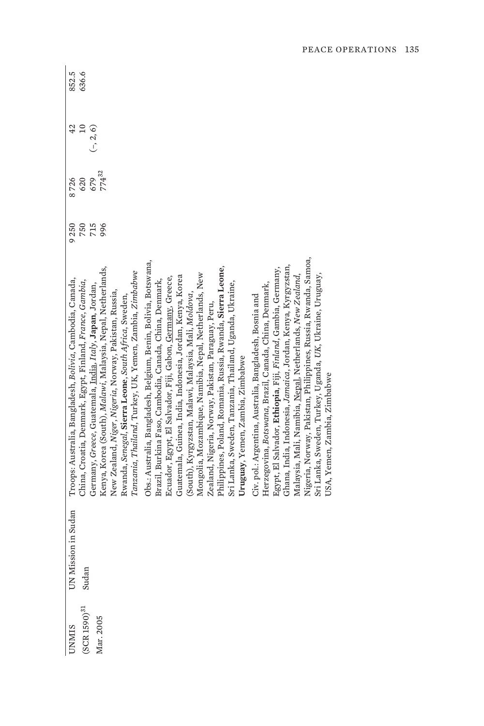| <b>INMIS</b>                 | UN Mission in Sudan | Troops: Australia, Bangladesh, Bolivia, Cambodia, Canada,                                                              | 9250       | 8726                     | 42                             | 852.5 |
|------------------------------|---------------------|------------------------------------------------------------------------------------------------------------------------|------------|--------------------------|--------------------------------|-------|
| $\mathrm{SCR}$ 1590) $^{31}$ | Sudan               | China, Croatia, Denmark, Egypt, Finland, France, Gambia,<br>Germany, Greece, Guatemala, India, Italy, Japan, Jordan,   | 750<br>715 | 620                      | $\overline{10}$<br>$(-, 2, 6)$ | 636.6 |
| Mar. 2005                    |                     | Kenya, Korea (South), Malawi, Malaysia, Nepal, Netherlands,                                                            | 996        | 679<br>774 <sup>32</sup> |                                |       |
|                              |                     | New Zealand, N <i>iger, Nigeria,</i> Norway, Pakistan, Russia,<br>Rwanda, Senegal, Sierra Leone, South Africa, Sweden, |            |                          |                                |       |
|                              |                     | Tanzania, Thailand, Turkey, UK, Yemen, Zambia, Zimbabwe                                                                |            |                          |                                |       |
|                              |                     | Obs.: Australia, Bangladesh, Belgium, Benin, Bolivia, Botswana,                                                        |            |                          |                                |       |
|                              |                     | Brazil, Burkina Faso, Cambodia, Canada, China, Denmark,                                                                |            |                          |                                |       |
|                              |                     | Ecuador, Egypt, El Salvador, Fiji, Gabon, Germany, Greece,                                                             |            |                          |                                |       |
|                              |                     | Guatemala, Guinea, India, Indonesia, Jordan, Kenya, Korea                                                              |            |                          |                                |       |
|                              |                     | (South), Kyrgyzstan, Malawi, Malaysia, Mali, Moldova,                                                                  |            |                          |                                |       |
|                              |                     | Mongolia, Mozambique, Namibia, Nepal, Netherlands, New                                                                 |            |                          |                                |       |
|                              |                     | Zealand, Nigeria, Norway, Pakistan, Paraguay, Peru,                                                                    |            |                          |                                |       |
|                              |                     | Philippines, Poland, Romania, Russia, Rwanda, Sierra Leone,                                                            |            |                          |                                |       |
|                              |                     | Sri Lanka, Sweden, Tanzania, Thailand, Uganda, Ukraine,                                                                |            |                          |                                |       |
|                              |                     | Uruguay, Yemen, Zambia, Zimbabwe                                                                                       |            |                          |                                |       |
|                              |                     | Civ. pol.: Argentina, Australia, Bangladesh, Bosnia and                                                                |            |                          |                                |       |
|                              |                     | Herzegovina, Botswana, Brazil, Canada, China, Denmark,                                                                 |            |                          |                                |       |
|                              |                     | Egypt, El Salvador, Ethiopia, Fiji, Finland, Gambia, Germany,                                                          |            |                          |                                |       |
|                              |                     | Ghana, India, Indonesia, J <i>amaica</i> , Jordan, Kenya, Kyrgyzstan,                                                  |            |                          |                                |       |
|                              |                     | Malaysia, Mali, Namibia, Nepal, Netherlands, New Zealand,                                                              |            |                          |                                |       |
|                              |                     | Nigeria, Norway, Pakistan, Philippines, Russia, Rwanda, Samoa,                                                         |            |                          |                                |       |
|                              |                     | Sri Lanka, Sweden, Turkey, Uganda, UK, Ukraine, Uruguay,                                                               |            |                          |                                |       |
|                              |                     | USA, Yemen, Zambia, Zimbabwe                                                                                           |            |                          |                                |       |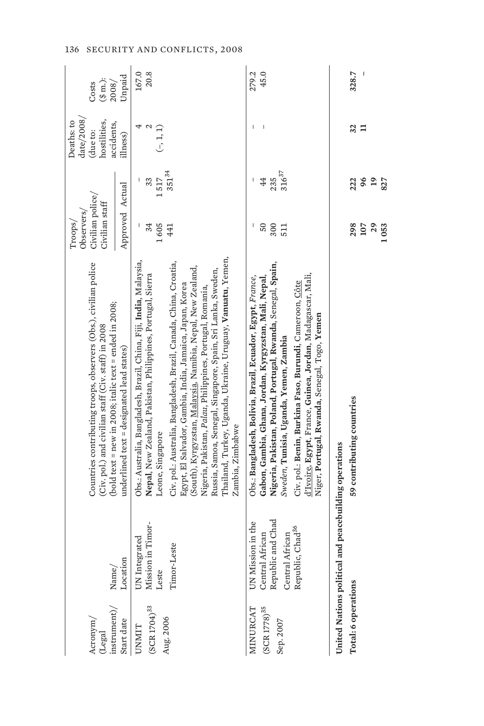| $(\mbox{Legal}$ instrument)/<br>Start date<br>Acronym/ | $\begin{array}{c}\text{Name/} \\ \text{Location}\end{array}$                                                 | Countries contributing troops, observers (Obs.), civilian police<br>(bold text = new in 2008; italic text = ended in 2008;<br>(Civ. pol.) and civilian staff (Civ. staff) in 2008<br>$underline{d}$ text = $designed$ lead states)                                                                                                                                                                                                                                                                                                                                                    | Approved Actual<br>Civilian police/<br>Civilian staff<br>Observers/<br>Troops/ |                                    | $\mathrm{date}/2008/$<br>hostilities,<br>Deaths: to<br>accidents,<br>(due to:<br>illness) | Unpaid<br>$(\text{\$ m.})$<br>2008/<br>Costs |
|--------------------------------------------------------|--------------------------------------------------------------------------------------------------------------|---------------------------------------------------------------------------------------------------------------------------------------------------------------------------------------------------------------------------------------------------------------------------------------------------------------------------------------------------------------------------------------------------------------------------------------------------------------------------------------------------------------------------------------------------------------------------------------|--------------------------------------------------------------------------------|------------------------------------|-------------------------------------------------------------------------------------------|----------------------------------------------|
| $(SCR 1704)^{33}$<br>Aug. 2006<br><b>UNMIT</b>         | UN Integrated<br>Mission in Timor-<br>Leste<br>Timor-Leste                                                   | Thailand, Turkey, Uganda, Ukraine, Uruguay, <b>Vanuatu</b> , Yemen,<br>Obs.: Australia, Bangladesh, Brazil, China, Fiji, India, Malaysia,<br>Civ. pol.: Australia, Bangladesh, Brazil, Canada, China, Croatia,<br>(South), Kyrgyzstan, <u>Malaysia</u> , Namibia, Nepal, New Zealand,<br>Russia, Samoa, Senegal, Singapore, Spain, Sri Lanka, Sweden,<br>Nepal, New Zealand, Pakistan, Philippines, Portugal, Sierra<br>Egypt, El Salvador, Gambia, India, Jamaica, Japan, Korea<br>Nigeria, Pakistan, Palau, Philippines, Portugal, Romania,<br>Zambia, Zimbabwe<br>Leone, Singapore | 1605<br>34<br>441                                                              | $351^{34}$<br>33<br>1517           | 4<br>2<br>$(-, 1, 1)$                                                                     | 167.0<br>20.8                                |
| $\rm (SCR~1778)^{35}$<br>MINURCAT<br>Sep. 2007         | UN Mission in the<br>Central African<br>Republic and Chad<br>Central African<br>Republic, Chad <sup>36</sup> | Nigeria, Pakistan, Poland, Portugal, Rwanda, Senegal, Spain,<br>d'Ivoire, Egypt, France, Guinea, Jordan, Madagascar, Mali,<br>Gabon, Gambia, Ghana, Jordan, Kyrgyzstan, Mali, Nepal,<br>Obs.: Bangladesh, Bolivia, Brazil, Ecuador, Egypt, France,<br>Civ. pol.: Benin, Burkina Faso, Burundi, Cameroon, Côte<br>Niger, Portugal, Rwanda, Senegal, Togo, Yemen<br>Sweden, Tunisia, Uganda, Yemen, Zambia                                                                                                                                                                              | 300<br>I<br>50<br>511                                                          | 31637<br>44<br>235<br>I            |                                                                                           | 279.2<br>45.0                                |
| Total: 6 operations                                    | United Nations political and peacebuilding operations                                                        | 59 contributing countries                                                                                                                                                                                                                                                                                                                                                                                                                                                                                                                                                             | 298<br>107<br>29<br>1053                                                       | 222<br>96<br>$\overline{a}$<br>827 | 32<br>Ξ                                                                                   | 328.7                                        |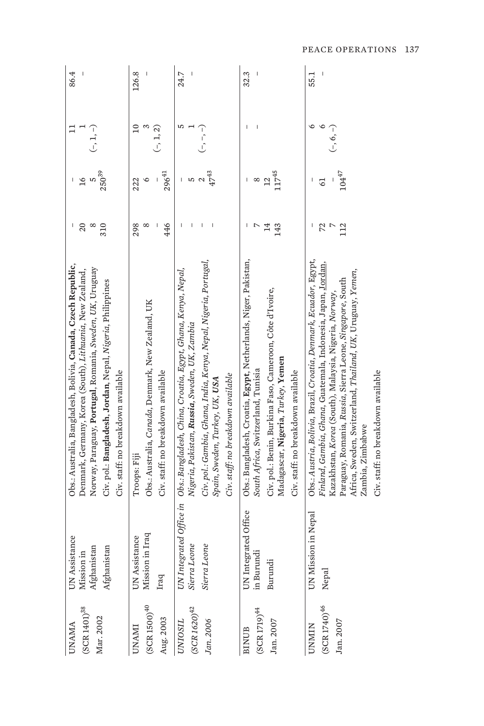| $(SCR 1401)^{38}$<br>Mar. 2002<br><b>UNAMA</b>   | UN Assistance<br>Afghanistan<br>${\rm Mission\,in}\\ {\rm Afghanistan}$ | Obs.: Australia, Bangladesh, Bolivia, Canada, Czech Republic,<br>Norway, Paraguay, <b>Portugal</b> , Romania, Sweden, UK, Uruguay<br>Denmark, Germany, Korea (South), Lithuania, New Zealand,<br>Civ. pol.: Bangladesh, Jordan, Nepal, Nigeria, Philippines<br>Civ. staff: no breakdown available                                                                               | 20<br>$\infty$<br>310                 | 25039<br>5<br>$\overline{16}$ | $(-, 1, -)$                   | 86.4  |
|--------------------------------------------------|-------------------------------------------------------------------------|---------------------------------------------------------------------------------------------------------------------------------------------------------------------------------------------------------------------------------------------------------------------------------------------------------------------------------------------------------------------------------|---------------------------------------|-------------------------------|-------------------------------|-------|
| $(SCR 1500)^{40}$<br>Aug. 2003<br>UNAMI          | Mission in Iraq<br><b>UN</b> Assistance<br>Iraq                         | Obs.: Australia, Canada, Denmark, New Zealand, UK<br>Civ. staff: no breakdown available<br>Troops: Fiji                                                                                                                                                                                                                                                                         | 446<br>298<br>$^{\circ}$              | $296^{41}$<br>∘<br>222        | $\approx$<br>S<br>$(-, 1, 2)$ | 126.8 |
| $(SCR 1620)^{42}$<br>Jan. 2006<br><b>UNIOSIL</b> | UN Integrated Office in<br>Sierra Leone<br>Sierra Leone                 | Civ. pol.: Gambia, Ghana, India, Kenya, Nepal, Nigeria, Portugal,<br>Obs.: Bangladesh, China, Croatia, Egypt, Ghana, Kenya, Nepal,<br>Nigeria, Pakistan, <b>Russia</b> , Sweden, UK, Zambia<br>Civ. staff: no breakdown available<br>Spain, Sweden, Turkey, UK, <b>USA</b>                                                                                                      | I<br>I<br>ı                           | $47^{43}$<br>S                | S<br>$(-,-,-)$                | 24.7  |
| $(SCR 1719)^{44}$<br>Jan. 2007<br><b>BINUB</b>   | UN Integrated Office<br>in Burundi<br>Burundi                           | Obs.: Bangladesh, Croatia, Egypt, Netherlands, Niger, Pakistan,<br>Civ. pol.: Benin, Burkina Faso, Cameroon, Côte d'Ivoire,<br>Madagascar, <b>Nigeria</b> , <i>Turkey</i> , <b>Yemen</b><br>South Africa, Switzerland, Tunisia<br>Civ. staff: no breakdown available                                                                                                            | 14<br>$\overline{\phantom{0}}$<br>143 | 11745<br>12<br>$^{\circ}$     |                               | 32.3  |
| $(SCR 1740)^{46}$<br>Jan. 2007<br>UNMIN          | on in Nepal<br>UN Missi<br>Nepal                                        | Obs.: Austria, Bolivia, Brazil, Croatia, Denmark, Ecuador, Egypt,<br>Finland, Gambia, Ghana, Guatemala, Indonesia, Japan, Jordan,<br>Africa, Sweden, Switzerland, Thailand, UK, Uruguay, Yemen,<br>Paraguay, Romania, Russia, Sierra Leone, Singapore, South<br>Kazakhstan, Korea (South), Malaysia, Nigeria, Norway,<br>Civ. staff: no breakdown available<br>Zambia, Zimbabwe | 72<br>112<br>$\overline{C}$           | $104^{47}$<br>$\overline{6}$  | ७<br>P<br>$(-, 6, -)$         | 55.1  |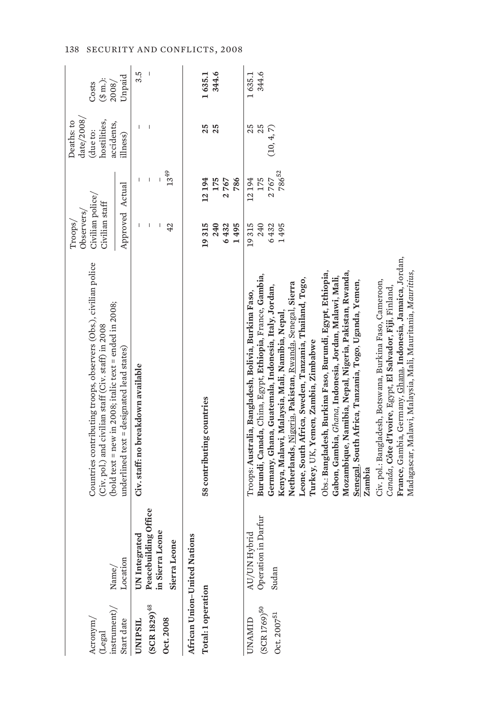| in Sierra Leone<br>UN Integrated<br>African Union-United Nations<br>Sierra Leone<br>Location<br>Total: 1 operation<br>$(SCR 1829)^{48}$<br>Oct. 2008<br>Start date<br><b>UNIPSIL</b> |                      | Countries contributing troops, observers (Obs.), civilian police<br>(bold text = new in 2008; italic text = ended in 2008;<br>(Civ. pol.) and civilian staff (Civ. staff) in 2008                                                                                                                                                                                                                                                                                                                                                                                                                                                                                                                                                                                                                                                                                                                        | Civilian police/<br>Civilian staff<br>Observers/<br>Troops/ |                               | date $/2008/$<br>hostilities,<br>Deaths: to<br>accidents,<br>(due to: | $(\frac{3}{2} \text{ m.})$ :<br>2008/<br>Costs |
|--------------------------------------------------------------------------------------------------------------------------------------------------------------------------------------|----------------------|----------------------------------------------------------------------------------------------------------------------------------------------------------------------------------------------------------------------------------------------------------------------------------------------------------------------------------------------------------------------------------------------------------------------------------------------------------------------------------------------------------------------------------------------------------------------------------------------------------------------------------------------------------------------------------------------------------------------------------------------------------------------------------------------------------------------------------------------------------------------------------------------------------|-------------------------------------------------------------|-------------------------------|-----------------------------------------------------------------------|------------------------------------------------|
|                                                                                                                                                                                      |                      | $underline{d}$ text = $designed$ lead states)                                                                                                                                                                                                                                                                                                                                                                                                                                                                                                                                                                                                                                                                                                                                                                                                                                                            | Approved Actual                                             |                               | illness)                                                              | Unpaid                                         |
|                                                                                                                                                                                      | Peacebuilding Office | Civ. staff: no breakdown available                                                                                                                                                                                                                                                                                                                                                                                                                                                                                                                                                                                                                                                                                                                                                                                                                                                                       | 42                                                          | $13^{49}$<br>I<br>I           | I                                                                     | 3.5<br>$\overline{\phantom{a}}$                |
|                                                                                                                                                                                      |                      |                                                                                                                                                                                                                                                                                                                                                                                                                                                                                                                                                                                                                                                                                                                                                                                                                                                                                                          |                                                             |                               |                                                                       |                                                |
|                                                                                                                                                                                      |                      | 58 contributing countries                                                                                                                                                                                                                                                                                                                                                                                                                                                                                                                                                                                                                                                                                                                                                                                                                                                                                | 19315<br>240                                                | 12194<br>175                  | 25<br>25                                                              | 1635.1<br>344.6                                |
|                                                                                                                                                                                      |                      |                                                                                                                                                                                                                                                                                                                                                                                                                                                                                                                                                                                                                                                                                                                                                                                                                                                                                                          | 6432                                                        | 2767                          |                                                                       |                                                |
|                                                                                                                                                                                      |                      |                                                                                                                                                                                                                                                                                                                                                                                                                                                                                                                                                                                                                                                                                                                                                                                                                                                                                                          | 1495                                                        | 786                           |                                                                       |                                                |
| AU/UN Hybrid<br>Sudan<br>$(SCR 1769)$ <sup>50</sup><br>Oct. 2007 <sup>51</sup><br>UNAMID                                                                                             | Operation in Darfur  | France, Gambia, Germany, <u>Ghana</u> , Indonesia, Jamaica, Jordan,<br>Obs.: Bangladesh, Burkina Faso, Burundi, Egypt, Ethiopia,<br>Mozambique, Namibia, Nepal, Nigeria, Pakistan, Rwanda,<br>Madagascar, Malawi, Malaysia, Mali, Mauritania, Mauritius,<br>Burundi, Canada, China, Egypt, Ethiopia, France, Gambia,<br>Gabon, Gambia, Ghana, Indonesia, Jordan, Malawi, Mali,<br>Leone, South Africa, Sweden, Tanzania, Thailand, Togo,<br>Civ. pol.: Bangladesh, Botswana, Burkina Faso, Cameroon,<br>Senegal, South Africa, Tanzania, Togo, Uganda, Yemen,<br>Netherlands, Nigeria, Pakistan, Rwanda, Senegal, Sierra<br>Germany, Ghana, Guatemala, Indonesia, Italy, Jordan,<br>Canada, Côte d'Ivoire, Egypt, El Salvador, Fiji, Finland,<br>Troops: Australia, Bangladesh, Bolivia, Burkina Faso,<br>Kenya, Malawi, Malaysia, Mali, Namibia, Nepal<br>Turkey, UK, Yemen, Zambia, Zimbabwe<br>Zambia | 19315<br>240<br>6432<br>1495                                | 78652<br>175<br>2767<br>12194 | 25<br>25<br>(10, 4, 7)                                                | 344.6<br>1635.1                                |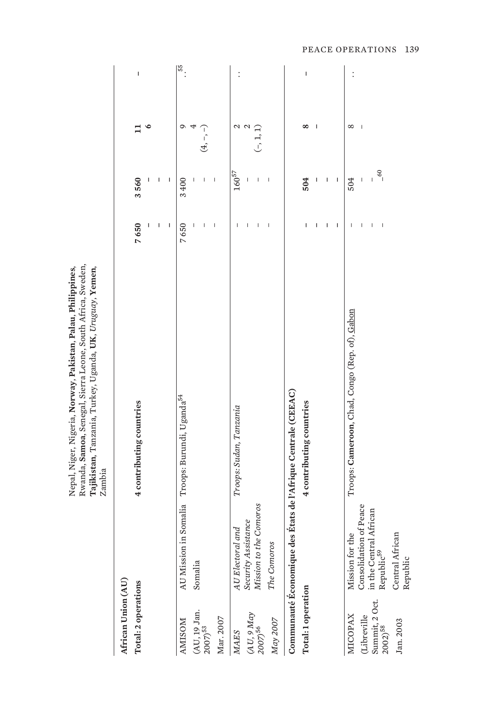|                                       |                                                  | Tajikistan, Tanzania, Turkey, Uganda, UK, Uruguay, Yemen,<br>Zambia |                                       |                                                                                                                                                                                                                                                                                                                                                                                  |                          |                          |
|---------------------------------------|--------------------------------------------------|---------------------------------------------------------------------|---------------------------------------|----------------------------------------------------------------------------------------------------------------------------------------------------------------------------------------------------------------------------------------------------------------------------------------------------------------------------------------------------------------------------------|--------------------------|--------------------------|
| African Union (AU)                    |                                                  |                                                                     |                                       |                                                                                                                                                                                                                                                                                                                                                                                  |                          |                          |
| Total: 2 operations                   |                                                  | 4 contributing countries                                            | 7650                                  | 3560<br>ı                                                                                                                                                                                                                                                                                                                                                                        | $\circ$<br>።             | I                        |
|                                       |                                                  |                                                                     | I                                     | I                                                                                                                                                                                                                                                                                                                                                                                |                          |                          |
|                                       |                                                  |                                                                     | I                                     | I                                                                                                                                                                                                                                                                                                                                                                                |                          |                          |
| <b>AMISOM</b>                         |                                                  | AU Mission in Somalia Troops: Burundi, Uganda <sup>54</sup>         | 7650                                  | 3400                                                                                                                                                                                                                                                                                                                                                                             | ᡋ                        | $\frac{155}{15}$         |
| (AU, 19 Jan.                          | Somalia                                          |                                                                     |                                       | $\begin{array}{c} \end{array}$                                                                                                                                                                                                                                                                                                                                                   | 4                        |                          |
| $(2007)^{53}$                         |                                                  |                                                                     |                                       | I                                                                                                                                                                                                                                                                                                                                                                                | $(4,-)$                  |                          |
| Mar. 2007                             |                                                  |                                                                     | $\begin{array}{c} \hline \end{array}$ | I                                                                                                                                                                                                                                                                                                                                                                                |                          |                          |
| <b>MAES</b>                           | A U Electoral and                                | Troops: Sudan, Tanzania                                             | $\overline{1}$                        | $160^{57}$                                                                                                                                                                                                                                                                                                                                                                       | 2                        | $\vdots$                 |
|                                       |                                                  |                                                                     | I                                     | $\begin{array}{c} \end{array}$                                                                                                                                                                                                                                                                                                                                                   | $\mathcal{L}$            |                          |
| $(AU, 9\,May) \atop 2007)^{56}$       | Security Assistance<br>Mission to the Comoros    |                                                                     | $\begin{array}{c} \end{array}$        | $\begin{array}{c} \end{array}$                                                                                                                                                                                                                                                                                                                                                   | $(-, 1, 1)$              |                          |
| $May\,2007$                           | The Comoros                                      |                                                                     | I                                     | J                                                                                                                                                                                                                                                                                                                                                                                |                          |                          |
|                                       |                                                  | Communauté Économique des États de l'Afrique Centrale (CEEAC)       |                                       |                                                                                                                                                                                                                                                                                                                                                                                  |                          |                          |
| Total: 1 operation                    |                                                  | 4 contributing countries                                            | ı                                     | 504                                                                                                                                                                                                                                                                                                                                                                              | $\infty$                 | $\overline{\phantom{a}}$ |
|                                       |                                                  |                                                                     | I                                     | ı                                                                                                                                                                                                                                                                                                                                                                                | $\overline{\phantom{a}}$ |                          |
|                                       |                                                  |                                                                     | ı                                     | I                                                                                                                                                                                                                                                                                                                                                                                |                          |                          |
|                                       |                                                  |                                                                     | I                                     | $\begin{array}{c} \rule{0pt}{2.5ex} \rule{0pt}{2.5ex} \rule{0pt}{2.5ex} \rule{0pt}{2.5ex} \rule{0pt}{2.5ex} \rule{0pt}{2.5ex} \rule{0pt}{2.5ex} \rule{0pt}{2.5ex} \rule{0pt}{2.5ex} \rule{0pt}{2.5ex} \rule{0pt}{2.5ex} \rule{0pt}{2.5ex} \rule{0pt}{2.5ex} \rule{0pt}{2.5ex} \rule{0pt}{2.5ex} \rule{0pt}{2.5ex} \rule{0pt}{2.5ex} \rule{0pt}{2.5ex} \rule{0pt}{2.5ex} \rule{0$ |                          |                          |
| <b>MICOPAX</b>                        | Mission for the                                  | Troops: Cameroon, Chad, Congo (Rep. of), Gabon                      | J.                                    | 504                                                                                                                                                                                                                                                                                                                                                                              | $^{\circ}$               | $\vdots$                 |
| (Libreville                           | Consolidation of Peace<br>in the Central African |                                                                     |                                       |                                                                                                                                                                                                                                                                                                                                                                                  | J                        |                          |
| Summit, 2 Oct.<br>2002) <sup>58</sup> | Republic <sup>59</sup>                           |                                                                     | I                                     | $-60$                                                                                                                                                                                                                                                                                                                                                                            |                          |                          |
| Jan. 2003                             | Central African                                  |                                                                     |                                       |                                                                                                                                                                                                                                                                                                                                                                                  |                          |                          |

Nepal, Niger, Nigeria, **Norway**, **Pakistan**, **Palau**, **Philippines**, Rwanda, **Samoa**, Senegal, Sierra Leone, South Africa, Sweden,

Nepal, Niger, Nigeria, Norway, Pakistan, Palau, Philippines, Rwanda, Samoa, Senegal, Sierra Leone, South Africa, Sweden,

PEACE OPERATIONS 139

Republic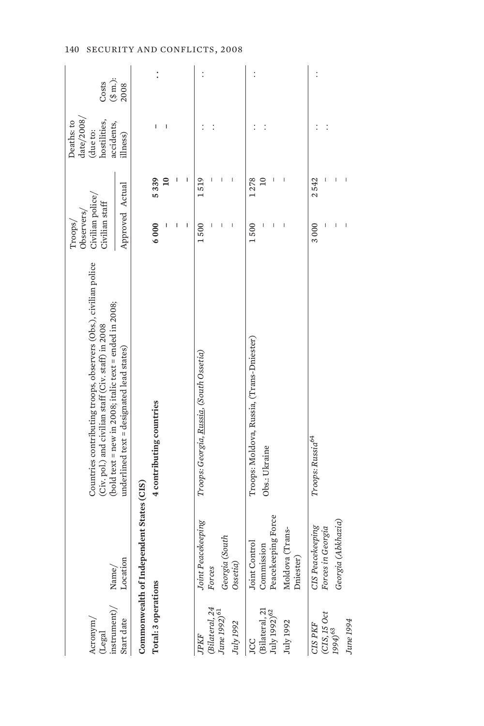| $(\mbox{Legal}$ instrument)/<br>Acronym/   | Name/                                    | Countries contributing troops, observers (Obs.), civilian police<br>(bold text = new in 2008; italic text = ended in 2008;<br>(Civ. pol.) and civilian staff (Civ. staff) in 2008 | Civilian police/<br>Civilian staff<br>Observers/<br>Troops/ |                | date/2008/<br>Deaths: to<br>hostilities,<br>accidents,<br>(due to: | $(\$\mbox{m.})$<br>Costs |
|--------------------------------------------|------------------------------------------|-----------------------------------------------------------------------------------------------------------------------------------------------------------------------------------|-------------------------------------------------------------|----------------|--------------------------------------------------------------------|--------------------------|
| Start date                                 | Location                                 | $underline{d}$ text = $designed$ lead states)                                                                                                                                     | Approved Actual                                             |                | illness)                                                           | 2008                     |
|                                            | Commonwealth of Independent States (CIS) |                                                                                                                                                                                   |                                                             |                |                                                                    |                          |
| Total: 3 operations                        |                                          | 4 contributing countries                                                                                                                                                          | 6000                                                        | 5339           |                                                                    |                          |
|                                            |                                          |                                                                                                                                                                                   |                                                             | $\overline{a}$ |                                                                    |                          |
|                                            |                                          |                                                                                                                                                                                   |                                                             |                |                                                                    |                          |
|                                            |                                          |                                                                                                                                                                                   |                                                             |                |                                                                    |                          |
| $\mathcal{P}KF$                            | Joint Peacekeeping                       | Troops: Georgia, Russia, (South Ossetia)                                                                                                                                          | 1500                                                        | 1519           |                                                                    |                          |
| (Bilateral, 24<br>June 1992) <sup>61</sup> | Forces                                   |                                                                                                                                                                                   |                                                             |                |                                                                    |                          |
|                                            | Georgia (South                           |                                                                                                                                                                                   |                                                             |                |                                                                    |                          |
| July 1992                                  | O <i>set</i> ia)                         |                                                                                                                                                                                   |                                                             |                |                                                                    |                          |
| JCC                                        | Joint Control                            | Troops: Moldova, Russia, (Trans-Dniester)                                                                                                                                         | 1500                                                        | 1278           |                                                                    | $\vdots$                 |
| (Bilateral, 21 $\rm{July}$ 1992) $^{62}$   | Commission<br>Peacekeeping Force         | Obs.: Ukraine                                                                                                                                                                     |                                                             | $\overline{a}$ |                                                                    |                          |
|                                            |                                          |                                                                                                                                                                                   |                                                             |                |                                                                    |                          |
| July 1992                                  | Moldova (Trans-                          |                                                                                                                                                                                   |                                                             |                |                                                                    |                          |
|                                            | Dniester)                                |                                                                                                                                                                                   |                                                             |                |                                                                    |                          |
| CIS PKF                                    | <b>CIS</b> Peacekeeping                  | Troops: Russia <sup>64</sup>                                                                                                                                                      | 3000                                                        | 2542           |                                                                    |                          |
| $\frac{\rm (CIS,\, IS\, Oct}{1994)^{63}}$  | Forces in Georgia                        |                                                                                                                                                                                   |                                                             | I              |                                                                    |                          |
|                                            | Georgia (Abkhazia)                       |                                                                                                                                                                                   |                                                             |                |                                                                    |                          |
| June 1994                                  |                                          |                                                                                                                                                                                   |                                                             |                |                                                                    |                          |
|                                            |                                          |                                                                                                                                                                                   |                                                             |                |                                                                    |                          |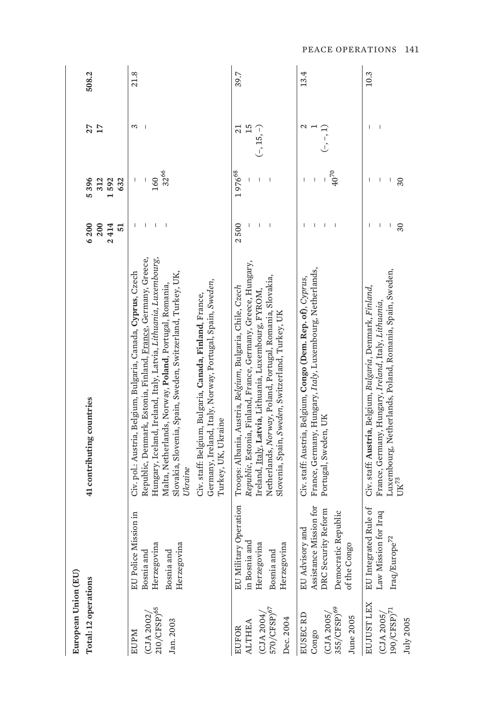| European Union (EU)                                                     |                                                                                                                   |                                                                                                                                                                                                                                                                                                                                                                                                                                                                                      |                           |                                |                                      |       |
|-------------------------------------------------------------------------|-------------------------------------------------------------------------------------------------------------------|--------------------------------------------------------------------------------------------------------------------------------------------------------------------------------------------------------------------------------------------------------------------------------------------------------------------------------------------------------------------------------------------------------------------------------------------------------------------------------------|---------------------------|--------------------------------|--------------------------------------|-------|
| Total: 12 operations                                                    |                                                                                                                   | 41 contributing countries                                                                                                                                                                                                                                                                                                                                                                                                                                                            | 6200<br>2414<br>200<br>51 | 5396<br>312<br>592<br>632      | $\mathbf{L}$<br>27                   | 508.2 |
| 210/CFSP) <sup>65</sup><br>(CJA 2002)<br>Jan. 2003<br><b>EUPM</b>       | EU Police Mission in<br>Herzegovina<br>ina<br>Bosnia and<br>Bosnia and<br>Herzegovi                               | Republic, Denmark, Estonia, Finland, France, Germany, Greece,<br>Hungary, Iceland, Ireland, Italy, Latvia, Lithuania, Luxembourg,<br>Civ. pol.: Austria, Belgium, Bulgaria, Canada, Cyprus, Czech<br>Slovakia, Slovenia, Spain, Sweden, Switzerland, Turkey, UK,<br>Germany, Ireland, Italy, Norway, Portugal, Spain, Sweden,<br>Malta, Netherlands, Norway, Poland, Portugal, Romania,<br>Civ. staff: Belgium, Bulgaria, Canada, Finland, France,<br>Turkey, UK, Ukraine<br>Ukraine |                           | 32 <sup>66</sup><br>160<br>I   | 3                                    | 21.8  |
| 570/CFSP) <sup>67</sup><br>(CJA 2004)<br>Dec. 2004<br>ALTHEA<br>EUFOR   | EU Military Operation<br>in Bosnia and<br>Herzegovina<br>Herzegovina<br>Bosnia and                                | Republic, Estonia, Finland, France, Germany, Greece, Hungary,<br>Netherlands, Norway, Poland, Portugal, Romania, Slovakia,<br>Troops: Albania, Austria, Belgium, Bulgaria, Chile, Czech<br>Ireland, Italy, Latvia, Lithuania, Luxembourg, FYROM<br>Slovenia, Spain, Sweden, Switzerland, Turkey, UK                                                                                                                                                                                  | 500<br>$\overline{a}$     | 197668                         | 15<br>$\overline{z}$<br>$(-, 15, -)$ | 39.7  |
| 355/CFSP) <sup>69</sup><br>EUSEC RD<br>(CJA 2005)<br>June 2005<br>Congo | Mission for<br>DRC Security Reform<br>Democratic Republic<br><b>EU</b> Advisory and<br>of the Congo<br>Assistance | France, Germany, Hungary, Italy, Luxembourg, Netherlands,<br>Civ. staff: Austria, Belgium, Congo (Dem. Rep. of), Cyprus,<br>Portugal, Sweden, UK                                                                                                                                                                                                                                                                                                                                     |                           | $40^{70}$                      | Ν<br>$\left( -,-\right)$             | 13.4  |
| EUJUST LEX<br>$190/\mathrm{CFSP})^{71}$<br>(CJA 2005)<br>July 2005      | ated Rule of<br>Law Mission for Iraq<br>$\rm{Iraq/Europe}^{\rm{72}}$<br>EU Integr                                 | Luxembourg, Netherlands, Poland, Romania, Spain, Sweden,<br>Civ. staff: Austria, Belgium, Bulgaria, Denmark, Finland,<br>France, Germany, Hungary, Ireland, Italy, Lithuania,<br>$\mathrm{UK}^{73}$                                                                                                                                                                                                                                                                                  | 30<br>I                   | $\overline{\phantom{a}}$<br>30 | $\overline{\phantom{a}}$             | 10.3  |

PEACE OPERATIONS 141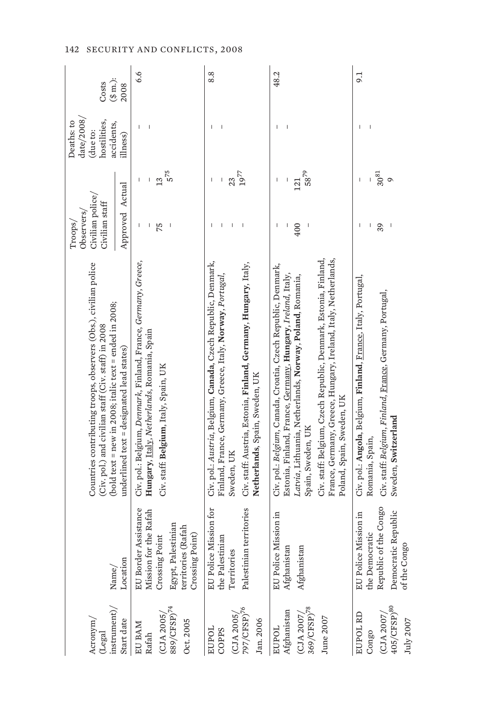| Acronym/<br>(Legal                                                                                   |                                                                                                                                | Countries contributing troops, observers (Obs.), civilian police<br>(Civ. pol.) and civilian staff (Civ. staff) in 2008                                                                                                                                                                                                                                                         | Civilian police/<br>Civilian staff<br>Observers/<br>Troops/                                        | $\mathrm{date}/2008$<br>hostilities,<br>Deaths: to<br>accidents,<br>(due to: | Costs                    |
|------------------------------------------------------------------------------------------------------|--------------------------------------------------------------------------------------------------------------------------------|---------------------------------------------------------------------------------------------------------------------------------------------------------------------------------------------------------------------------------------------------------------------------------------------------------------------------------------------------------------------------------|----------------------------------------------------------------------------------------------------|------------------------------------------------------------------------------|--------------------------|
| instrument)/<br>Start date                                                                           | Location<br>$\mathrm{Name}/% \mathbb{Z}$                                                                                       | (bold text = new in 2008; italic text = ended in 2008;<br>$underline{d}$ text = $designed$ lead states)                                                                                                                                                                                                                                                                         | Approved Actual                                                                                    | illness)                                                                     | $(\text{\$ m.})$<br>2008 |
| $\frac{\text{(CJA 2005)}}{\text{889/CFSP}}$ 74<br>Oct. 2005<br>EU BAM<br>Rafah                       | EU Border Assistance<br>Mission for the Rafah<br>Egypt, Palestinian<br>territories (Rafah<br>Crossing Point)<br>Crossing Point | Civ. pol.: Belgium, Denmark, Finland, France, Germany, Greece,<br>Hungary, Italy, Netherlands, Romania, Spain<br>Civ. staff: Belgium, Italy, Spain, UK                                                                                                                                                                                                                          | 5 <sup>75</sup><br>$\overline{13}$<br>I<br>75<br>$\begin{array}{c} \end{array}$<br>I<br>I          |                                                                              | 6.6                      |
| $\frac{\text{(CJA 2005)}}{\text{797}/\text{CFSP}^{76}}$<br>Jan. 2006<br>EUPOL<br>COPPS               | Mission for<br>Palestinian territories<br>the Palestinian<br>Territories<br>EU Police                                          | Civ. pol.: Austria, Belgium, Canada, Czech Republic, Denmark,<br>Civ. staff: Austria, Estonia, Finland, Germany, Hungary, Italy,<br>Finland, France, Germany, Greece, Italy, Norway, Portugal,<br>Netherlands, Spain, Sweden, UK<br>Sweden, UK                                                                                                                                  | $19^{77}$<br>23<br>I<br>I<br>$\begin{array}{c} \end{array}$<br>$\overline{\phantom{a}}$<br>I.<br>ı | I.                                                                           | 8.8                      |
| $\left( \text{CJA 2007}\right/ \!\!\!\!\!$ 369/CFSP)<br>$^{78}$<br>Afghanistan<br>June 2007<br>EUPOL | Mission in<br>Afghanistan<br>Afghanistan<br>EU Police                                                                          | Civ. staff: Belgium, Czech Republic, Denmark, Estonia, Finland,<br>France, Germany, Greece, Hungary, Ireland, Italy, Netherlands,<br>Civ. pol.: Belgium, Canada, Croatia, Czech Republic, Denmark,<br>Estonia, Finland, France, Germany, Hungary, Ireland, Italy,<br>Latvia, Lithuania, Netherlands, Norway, Poland, Romania,<br>Poland, Spain, Sweden, UK<br>Spain, Sweden, UK | 5879<br>121<br>400<br>$\begin{array}{c} \hline \end{array}$<br>$\overline{\phantom{a}}$<br>I       |                                                                              | 48.2                     |
| $\frac{\text{(CJA 2007)}}{\text{405}/\text{CFSP}}$ <sup>80</sup><br>EUPOL RD<br>July 2007<br>Congo   | Republic of the Congo<br>Democratic Republic<br>Mission in<br>the Democratic<br>1go<br>EU Police<br>of the Cor                 | Civ. pol.: Angola, Belgium, Finland, France, Italy, Portugal,<br>Civ. staff: Belgium, Finland, France, Germany, Portugal,<br>Sweden, Switzerland<br>Romania, Spain,                                                                                                                                                                                                             | $30^{81}$<br>$\circ$<br>39<br>I<br>ı                                                               |                                                                              | 9.1                      |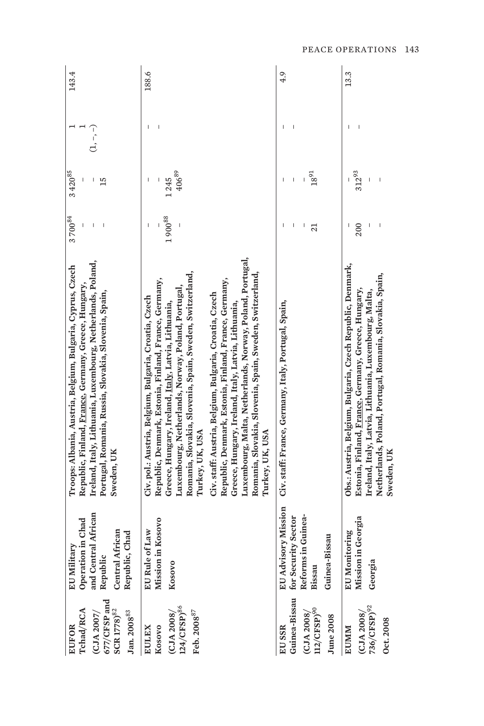| 677/CFSP and<br>Tchad/RCA<br>SCR 1778) <sup>82</sup><br>$\rm Jan. \,2008^{83}$<br>(CJA 2007)<br><b>EUFOR</b> | and Central African<br>Operation in Chad<br><b>Central African</b><br>Chad<br>EU Military<br>Republic<br>Republic, | Ireland, Italy, Lithuania, Luxembourg, Netherlands, Poland,<br>Troops: Albania, Austria, Belgium, Bulgaria, Cyprus, Czech<br>Republic, Finland, France, Germany, Greece, Hungary,<br>Portugal, Romania, Russia, Slovakia, Slovenia, Spain,<br>Sweden, UK                                                                                                                                                                                                                                                                                                                                                                                 | $3\,700^{84}$ | 3 420 85<br>15     | ز- , –, – | 143.4 |
|--------------------------------------------------------------------------------------------------------------|--------------------------------------------------------------------------------------------------------------------|------------------------------------------------------------------------------------------------------------------------------------------------------------------------------------------------------------------------------------------------------------------------------------------------------------------------------------------------------------------------------------------------------------------------------------------------------------------------------------------------------------------------------------------------------------------------------------------------------------------------------------------|---------------|--------------------|-----------|-------|
| $124/CFSP)^{86}$<br>Feb. 2008 <sup>87</sup><br>(CJA 2008)<br>Kosovo<br><b>EULEX</b>                          | Mission in Kosovo<br>of Law<br>EU Rule<br>Kosovo                                                                   | Luxembourg, Malta, Netherlands, Norway, Poland, Portugal,<br>Romania, Slovakia, Slovenia, Spain, Sweden, Switzerland,<br>Romania, Slovakia, Slovenia, Spain, Sweden, Switzerland,<br>Republic, Denmark, Estonia, Finland, France, Germany,<br>Republic, Denmark, Estonia, Finland, France, Germany,<br>Luxembourg, Netherlands, Norway, Poland, Portugal,<br>Civ. staff: Austria, Belgium, Bulgaria, Croatia, Czech<br>Civ. pol.: Austria, Belgium, Bulgaria, Croatia, Czech<br>Greece, Hungary, Ireland, <u>Italy</u> , Latvia, Lithuania,<br>Greece, Hungary, Ireland, Italy, Latvia, Lithuania,<br>Turkey, UK, USA<br>Turkey, UK, USA | $1\,900^{88}$ | $406^{89}$<br>1245 |           | 188.6 |
| $(12/CFSP)^{90}$<br>(CJA 2008)<br><b>June 2008</b><br>EU SSR                                                 | EU Advisory Mission<br>Reforms in Guinea-<br>Guinea-Bissau for Security Sector<br>Guinea-Bissau<br>Bissau          | Civ. staff: France, Germany, Italy, Portugal, Spain,                                                                                                                                                                                                                                                                                                                                                                                                                                                                                                                                                                                     | I<br>21       | $18^{91}$          |           | 4.9   |
| 736/CFSP) <sup>92</sup><br>(CJA 2008)<br><b>Dct.2008</b><br><b>EUMM</b>                                      | Mission in Georgia<br>toring<br><b>EU</b> Moni<br>Georgia                                                          | Obs.: Austria, Belgium, Bulgaria, Czech Republic, Denmark,<br>Netherlands, Poland, Portugal, Romania, Slovakia, Spain,<br>Estonia, Finland, France, Germany, Greece, Hungary,<br>Ireland, Italy, Latvia, Lithuania, Luxembourg, Malta,<br>Sweden, UK                                                                                                                                                                                                                                                                                                                                                                                     | 200           | 31293              |           | 13.3  |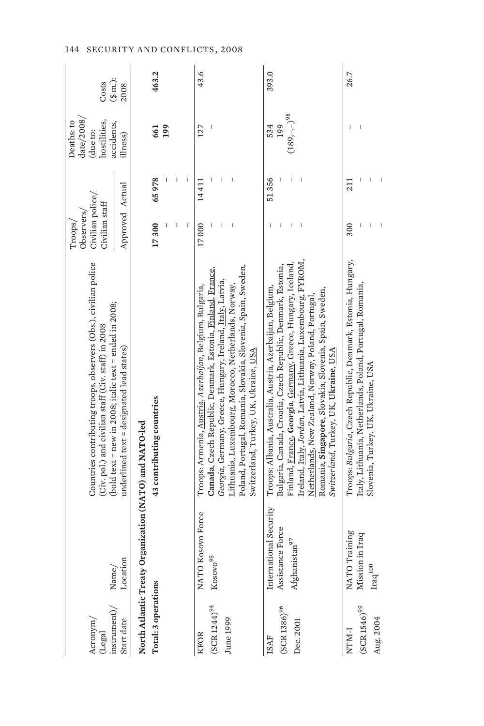| instrument)<br>Acronym/<br>(Legal | $\text{Name}/$                                         | Countries contributing troops, observers (Obs.), civilian police<br>(bold text = new in 2008; italic text = ended in 2008;<br>(Civ. pol.) and civilian staff (Civ. staff) in 2008 | Civilian police/<br>Civilian staff<br>Observers/<br>Troops/ |       | date/2008/<br>hostilities,<br>Deaths: to<br>accidents,<br>(due to: | $(\text{\$ m.})$<br>Costs |
|-----------------------------------|--------------------------------------------------------|-----------------------------------------------------------------------------------------------------------------------------------------------------------------------------------|-------------------------------------------------------------|-------|--------------------------------------------------------------------|---------------------------|
| Start date                        | Location                                               | $underline d$ text = $designed$ lead states)                                                                                                                                      | Approved Actual                                             |       | illness)                                                           | 2008                      |
|                                   | North Atlantic Treaty Organization (NATO) and NATO-led |                                                                                                                                                                                   |                                                             |       |                                                                    |                           |
| Total: 3 operations               |                                                        | 43 contributing countries                                                                                                                                                         | 17300                                                       | 65978 | 661                                                                | 463.2                     |
|                                   |                                                        |                                                                                                                                                                                   |                                                             |       | 199                                                                |                           |
|                                   |                                                        |                                                                                                                                                                                   |                                                             |       |                                                                    |                           |
|                                   |                                                        |                                                                                                                                                                                   | I                                                           | I     |                                                                    |                           |
| <b>KFOR</b>                       | NATO Kosovo Force                                      | Troops: Armenia, <u>Austria,</u> Azerbaijan, Belgium, Bulgaria,                                                                                                                   | 17000                                                       | 14411 | 127                                                                | 43.6                      |
| $(SCR 1244)^{94}$                 | $\mathrm{Kosov} \mathrm{o}^{95}$                       | Canada, Czech Republic, Denmark, Estonia, Finland, France,                                                                                                                        |                                                             |       |                                                                    |                           |
| June 1999                         |                                                        | Georgia, Germany, Greece, Hungary, Ireland, Italy, Latvia,                                                                                                                        |                                                             |       |                                                                    |                           |
|                                   |                                                        | Lithuania, Luxembourg, Morocco, Netherlands, Norway,                                                                                                                              |                                                             |       |                                                                    |                           |
|                                   |                                                        | Poland, Portugal, Romania, Slovakia, Slovenia, Spain, Sweden,                                                                                                                     |                                                             |       |                                                                    |                           |
|                                   |                                                        | Switzerland, Turkey, UK, Ukraine, <u>USA</u>                                                                                                                                      |                                                             |       |                                                                    |                           |
| <b>ISAF</b>                       | International Security                                 | Troops: Albania, Australia, Austria, Azerbaijan, Belgium,                                                                                                                         |                                                             | 51356 | 534                                                                | 393.0                     |
| $(SCR 1386)^{96}$                 | Assistance Force                                       | Bulgaria, Canada, Croatia, Czech Republic, Denmark, Estonia,                                                                                                                      | I                                                           |       | 199                                                                |                           |
|                                   | $\tan^{97}$<br>Afghanist                               | Finland, France, Georgia, Germany, Greece, Hungary, Iceland,                                                                                                                      | I                                                           |       | $(189,-,-)^{98}$                                                   |                           |
| Dec. 2001                         |                                                        | Ireland, Italy, Jordan, Latvia, Lithuania, Luxembourg, FYROM,                                                                                                                     | $\overline{\phantom{a}}$                                    |       |                                                                    |                           |
|                                   |                                                        | Netherlands, New Zealand, Norway, Poland, Portugal,                                                                                                                               |                                                             |       |                                                                    |                           |
|                                   |                                                        | Romania, Singapore, Slovakia, Slovenia, Spain, Sweden,                                                                                                                            |                                                             |       |                                                                    |                           |
|                                   |                                                        | Switzerland, Turkey, UK, <b>Ukraine</b> , <u>USA</u>                                                                                                                              |                                                             |       |                                                                    |                           |
| <b>I-MINN</b>                     | NATO Training                                          | Troops: Bulgaria, Czech Republic, Denmark, Estonia, Hungary,                                                                                                                      | 300                                                         | 211   |                                                                    | 26.7                      |
| $(SCR 1546)^{99}$                 | Mission in Iraq                                        | Italy, Lithuania, Netherlands, Poland, Portugal, Romania,                                                                                                                         | I                                                           |       |                                                                    |                           |
| Aug. 2004                         | $\mathrm{Iraq}^{100}$                                  | Slovenia, Turkey, UK, Ukraine, USA                                                                                                                                                |                                                             |       |                                                                    |                           |
|                                   |                                                        |                                                                                                                                                                                   | Ï                                                           |       |                                                                    |                           |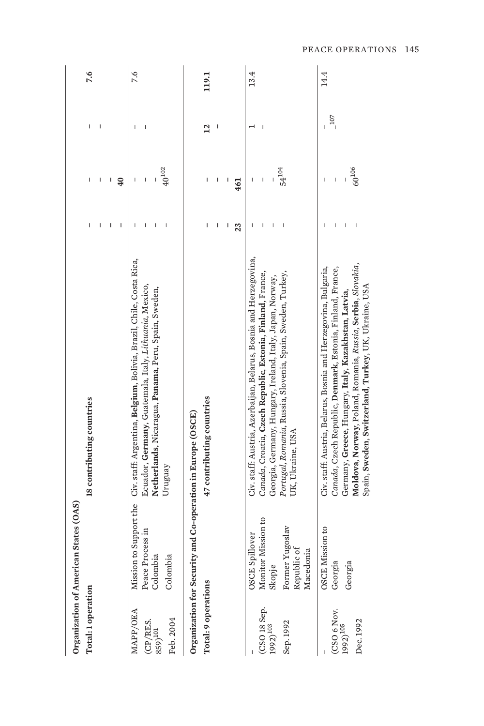| Organization of American<br>Total: 1 operation                     | States (OAS)                                | 18 contributing countries                                                                                           |    | ı               |                 | 7.6   |
|--------------------------------------------------------------------|---------------------------------------------|---------------------------------------------------------------------------------------------------------------------|----|-----------------|-----------------|-------|
|                                                                    |                                             |                                                                                                                     |    |                 |                 |       |
|                                                                    |                                             |                                                                                                                     |    | I               |                 |       |
|                                                                    |                                             |                                                                                                                     | I  | $\overline{40}$ |                 |       |
| MAPP/OEA                                                           | Mission to Support the                      | Civ. staff: Argentina, Belgium, Bolivia, Brazil, Chile, Costa Rica,                                                 |    |                 |                 | 7.6   |
|                                                                    | Peace Process in                            | Ecuador, Germany, Guatemala, Italy, Lithuania, Mexico,                                                              |    |                 |                 |       |
| (CP/RES.<br>859) <sup>101</sup>                                    | Colombia                                    | Netherlands, Nicaragua, Panama, Peru, Spain, Sweden,                                                                |    |                 |                 |       |
| Feb. 2004                                                          | Colombia                                    | Uruguay                                                                                                             |    | $40^{102}\,$    |                 |       |
| Organization for Security                                          |                                             | and Co-operation in Europe (OSCE)                                                                                   |    |                 |                 |       |
| Total: 9 operations                                                |                                             | 47 contributing countries                                                                                           | I  | I               | $\overline{12}$ | 119.1 |
|                                                                    |                                             |                                                                                                                     | I  | I               |                 |       |
|                                                                    |                                             |                                                                                                                     | I  | ı               |                 |       |
|                                                                    |                                             |                                                                                                                     | 23 | 461             |                 |       |
|                                                                    | <b>OSCE</b> Spillover                       | Civ. staff: Austria, Azerbaijan, Belarus, Bosnia and Herzegovina,                                                   | ı  | I               |                 | 13.4  |
| $\begin{array}{c} \rm (CSO\ 18\ 8ep.\ \rm 1992)^{103} \end{array}$ | Monitor Mission to                          | Canada, Croatia, Czech Republic, Estonia, Finland, France,                                                          |    | Ï               |                 |       |
|                                                                    | Skopje                                      | Georgia, Germany, Hungary, Ireland, Italy, Japan, Norway,                                                           |    |                 |                 |       |
| Sep. 1992                                                          | Former Yugoslav<br>Republic of<br>Macedonia | Portugal, Romania, Russia, Slovenia, Spain, Sweden, Turkey,<br>UK, Ukraine, USA                                     |    | $54^{104}$      |                 |       |
|                                                                    | OSCE Mission to                             | Civ. staff: Austria, Belarus, Bosnia and Herzegovina, Bulgaria,                                                     |    |                 |                 | 14.4  |
| $(CSO 6$ Nov.<br>1992) $^{105}$                                    | Georgia                                     | Canada, Czech Republic, Denmark, Estonia, Finland, France,                                                          |    | $\overline{1}$  | 107             |       |
|                                                                    | Georgia                                     | Germany, Greece, Hungary, Italy, Kazakhstan, Latvia,                                                                |    |                 |                 |       |
| Dec. 1992                                                          |                                             | Moldova, Norway, Poland, Romania, Russia, Serbia, Slovakia,<br>Spain, Sweden, Switzerland, Turkey, UK, Ukraine, USA |    | $60^{106}$      |                 |       |
|                                                                    |                                             |                                                                                                                     |    |                 |                 |       |

PEACE OPERATIONS 145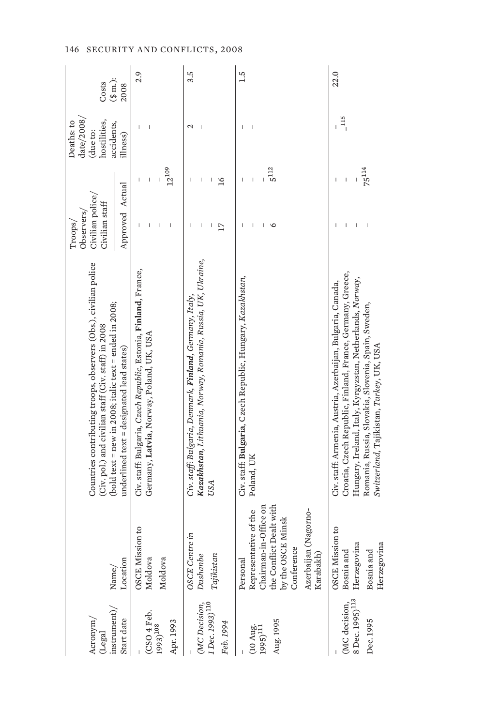| instrument)<br>Acronym/<br>(Legal            | Name/                                        | Countries contributing troops, observers (Obs.), civilian police<br>(bold text = new in 2008; italic text = ended in 2008;<br>(Civ. pol.) and civilian staff (Civ. staff) in 2008 | Civilian police/<br>Civilian staff<br>Observers/<br>Troops/ | date/2008/<br>hostilities,<br>Deaths: to<br>accidents,<br>(due to: | $(\text{\$ m.})$<br>Costs |
|----------------------------------------------|----------------------------------------------|-----------------------------------------------------------------------------------------------------------------------------------------------------------------------------------|-------------------------------------------------------------|--------------------------------------------------------------------|---------------------------|
| Start date                                   | Location                                     | underlined text = designated lead states)                                                                                                                                         | Approved Actual                                             | illness)                                                           | 2008                      |
| (CSO 4 Feb.                                  | OSCE Mission to<br>Moldova                   | Civ. staff: Bulgaria, Czech Republic, Estonia, Finland, France,<br>Germany, Latvia, Norway, Poland, UK, USA                                                                       | T                                                           | I<br>ı<br>Ī                                                        | 2.9                       |
| Apr. 1993<br>1993) <sup>108</sup>            | Moldova                                      |                                                                                                                                                                                   | $\overline{\phantom{a}}$                                    | $12^{109}$                                                         |                           |
|                                              | <b>OSCE</b> Centre in                        | Civ. staff: Bulgaria, Denmark, <b>Finland</b> , Germany, Italy,                                                                                                                   | I                                                           | $\mathcal{L}$<br>$\overline{\phantom{a}}$                          | 3.5                       |
| (MC Decision,<br>1 Dec. 1993) <sup>110</sup> | Dushanbe                                     | Kazakhstan, Lithuania, Norway, Romania, Russia, UK, Ukraine,                                                                                                                      | $\begin{array}{c} \end{array}$                              | $\overline{\phantom{a}}$<br>I                                      |                           |
|                                              | Tajikistar                                   | USA                                                                                                                                                                               | 17                                                          | 16                                                                 |                           |
| Feb. 1994                                    |                                              |                                                                                                                                                                                   |                                                             |                                                                    |                           |
|                                              | Personal                                     | Civ. staff: Bulgaria, Czech Republic, Hungary, Kazakhstan,                                                                                                                        |                                                             | $\mathbf{I}$                                                       | 1.5                       |
| $(10 \text{ Aug.} 1995)^{111}$               | Representative of the                        | Poland, UK                                                                                                                                                                        | I                                                           | $\overline{\phantom{a}}$<br>$\overline{1}$                         |                           |
|                                              | Chairman-in-Office on                        |                                                                                                                                                                                   | ı                                                           |                                                                    |                           |
| Aug. 1995                                    | the Conflict Dealt with<br>by the OSCE Minsk |                                                                                                                                                                                   | O                                                           | $5^{112}$                                                          |                           |
|                                              | Conference                                   |                                                                                                                                                                                   |                                                             |                                                                    |                           |
|                                              | Azerbaijan (Nagorno-<br>Karabakh)            |                                                                                                                                                                                   |                                                             |                                                                    |                           |
|                                              | OSCE Mission to                              | Civ. staff: Armenia, Austria, Azerbaijan, Bulgaria, Canada,                                                                                                                       |                                                             |                                                                    | 22.0                      |
| (MC decision,                                | Bosnia and                                   | Croatia, Czech Republic, Finland, France, Germany, Greece,                                                                                                                        | I                                                           | $\frac{115}{1}$<br>Ï                                               |                           |
| 8 Dec. 1995) <sup>113</sup>                  | Herzegovina                                  | Hungary, Ireland, Italy, Kyrgyzstan, Netherlands, Norway,                                                                                                                         | $\overline{\phantom{a}}$                                    |                                                                    |                           |
| Dec. 1995                                    | Herzegovina<br>É<br>Bosnia an                | Romania, Russia, Slovakia, Slovenia, Spain, Sweden,<br>Switzerland, Tajikistan, Turkey, UK, USA                                                                                   | $\overline{\phantom{a}}$                                    | $75^{114}$                                                         |                           |
|                                              |                                              |                                                                                                                                                                                   |                                                             |                                                                    |                           |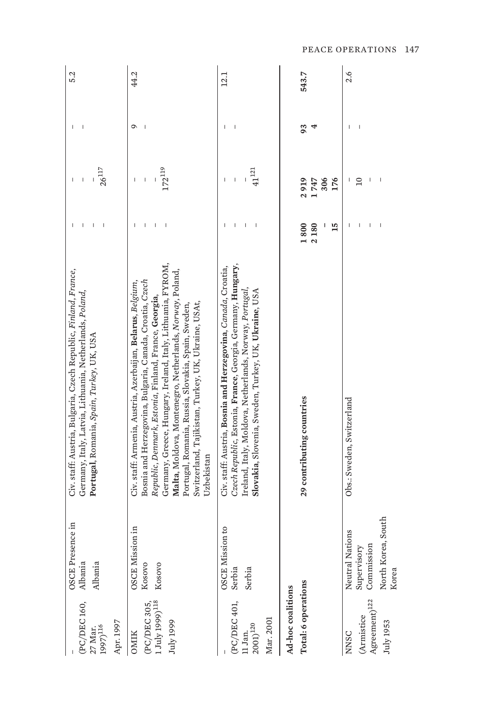| (PC/DEC160,<br>Apr. 1997<br>$27$ Mar.<br>1997) $^{116}$                    | OSCE Presence in<br>Albania<br>Albania                                      | Civ. staff: Austria, Bulgaria, Czech Republic, Finland, France,<br>Germany, Italy, Latvia, Lithuania, Netherlands, Poland,<br>Portugal, Romania, Spain, Turkey, UK, USA                                                                                                                                                                                                                                                                 |                                       | $26^{117}$<br>$\mathbf{I}$                            |    | 5.2   |
|----------------------------------------------------------------------------|-----------------------------------------------------------------------------|-----------------------------------------------------------------------------------------------------------------------------------------------------------------------------------------------------------------------------------------------------------------------------------------------------------------------------------------------------------------------------------------------------------------------------------------|---------------------------------------|-------------------------------------------------------|----|-------|
| $\rm{July}$ 1999) $^{\rm 118}$<br>(PC/DEC 305)<br>July 1999<br><b>OMIK</b> | <b>OSCE</b> Mission in<br>Rosovo<br>Kosovo                                  | Germany, Greece, Hungary, Ireland, Italy, Lithuania, FYROM,<br>Malta, Moldova, Montenegro, Netherlands, Norway, Poland,<br>Civ. staff: Armenia, Austria, Azerbaijan, Belarus, Belgium,<br>Bosnia and Herzegovina, Bulgaria, Canada, Croatia, Czech<br>Republic, Denmark, Estonia, Finland, France, Georgia,<br>Switzerland, Tajikistan, Turkey, UK, Ukraine, USAt,<br>Portugal, Romania, Russia, Slovakia, Spain, Sweden,<br>Uzbekistan |                                       | $172^{\mathrm{119}}$<br>I                             | Q  | 44.2  |
| (PC/DEC 401,<br>Mar. 2001<br>$2001)^{120}$<br>1 Jan.                       | OSCE Mission to<br>Serbia<br>Serbia                                         | Czech Republic, Estonia, France, Georgia, Germany, Hungary,<br>Civ. staff: Austria, Bosnia and Herzegovina, Canada, Croatia,<br>Ireland, Italy, Moldova, Netherlands, Norway, Portugal,<br>Slovakia, Slovenia, Sweden, Turkey, UK, Ukraine, USA                                                                                                                                                                                         | $\begin{array}{c} \hline \end{array}$ | $41^{121}$                                            |    | 12.1  |
| Total: 6 operations<br>Ad-hoc coalitions                                   |                                                                             | 29 contributing countries                                                                                                                                                                                                                                                                                                                                                                                                               | 15<br>1800<br>2180                    | 2919<br>306<br>1747<br>176                            | 93 | 543.7 |
| Agreement) $^{122}$<br><b>Armistice</b><br>July 1953<br>NNSC               | North Korea, South<br>Neutral Nations<br>Commission<br>Supervisory<br>Korea | Obs.: Sweden, Switzerland                                                                                                                                                                                                                                                                                                                                                                                                               |                                       | $\overline{\phantom{a}}$<br>$\overline{10}$<br>J<br>ı |    | 2.6   |

PEACE OPERATIONS 147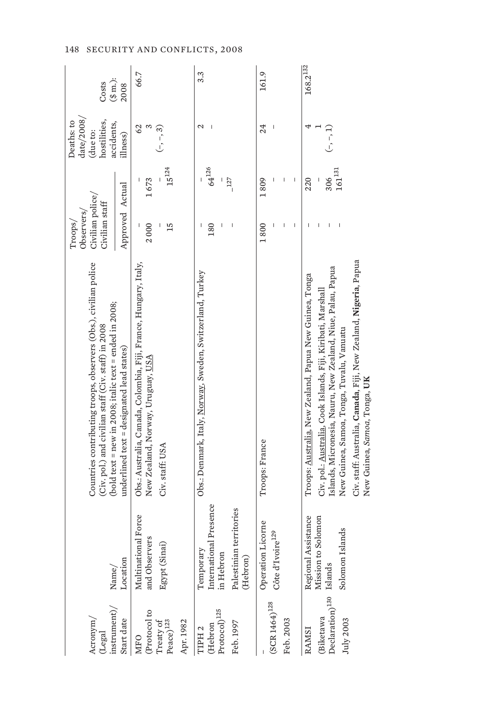| $n$ strument $\rangle$<br>Acronym <sub>/</sub><br>(Legal                           | $\mathrm{Name}/$                                                                        | Countries contributing troops, observers (Obs.), civilian police<br>(bold text = new in 2008; italic text = ended in 2008;<br>(Civ. pol.) and civilian staff (Civ. staff) in 2008                                                                                                                                                       | Civilian police/<br>Civilian staff<br>Observers/<br>Troops/ |                                  | date/2008/<br>hostilities,<br>Deaths: to<br>accidents,<br>(due to: | $(\$$ m.):<br>Costs |
|------------------------------------------------------------------------------------|-----------------------------------------------------------------------------------------|-----------------------------------------------------------------------------------------------------------------------------------------------------------------------------------------------------------------------------------------------------------------------------------------------------------------------------------------|-------------------------------------------------------------|----------------------------------|--------------------------------------------------------------------|---------------------|
| Start date                                                                         | Location                                                                                | $underline d$ text = $designed$ lead states)                                                                                                                                                                                                                                                                                            | Approved Actual                                             |                                  | illness)                                                           | 2008                |
| (Protocol to<br>${\rm Treaty~of} \\ {\rm Peace})^{123}$<br>Apr. 1982<br><b>MFO</b> | ional Force<br>and Observers<br>Egypt (Sinai)<br>Multinat                               | Obs.: Australia, Canada, Colombia, Fiji, France, Hungary, Italy,<br>New Zealand, Norway, Uruguay, USA<br>Civ. staff: USA                                                                                                                                                                                                                | 2000<br>15                                                  | $15^{124}$<br>1673               | 62<br>S<br>$(-, -, 3)$                                             | 66.7                |
| $(\mbox{Hebron}\,\mbox{Protocol})^{125}$<br>Feb. 1997<br>TIPH <sub>2</sub>         | International Presence<br>in Hebron<br>Palestinian territories<br>Temporary<br>(Hebron) | Obs.: Denmark, Italy, <u>Norway,</u> Sweden, Switzerland, Turkey                                                                                                                                                                                                                                                                        | 180<br>$\begin{array}{c} \end{array}$<br>J                  | $64^{126}$<br>$-127$             | 2                                                                  | 3.3                 |
| $(SCR1464)^{128}$<br>Feb. 2003                                                     | Operation Licorne<br>Côte d'Ivoire <sup>129</sup>                                       | Troops: France                                                                                                                                                                                                                                                                                                                          | 1800<br>$\overline{\phantom{a}}$                            | 1809<br>$\overline{\phantom{a}}$ | 24                                                                 | 161.9               |
| Declaration) <sup>130</sup> Islands<br>(Biketawa<br>July 2003<br>RAMSI             | Regional Assistance<br>Mission to Solomon<br>Islands<br>Solomon                         | Civ. staff: Australia, Canada, Fiji, New Zealand, Nigeria, Papua<br>Islands, Micronesia, Nauru, New Zealand, Niue, Palau, Papua<br>Troops: Australia, New Zealand, Papua New Guinea, Tonga<br>Civ. pol.: Australia, Cook Islands, Fiji, Kiribati, Marshall<br>New Guinea, Samoa, Tonga, Tuvalu, Vanuatu<br>New Guinea, Samoa, Tonga, UK |                                                             | $161^{131}\,$<br>306<br>220      | $(-, -, 1)$                                                        | $168.2^{132}$       |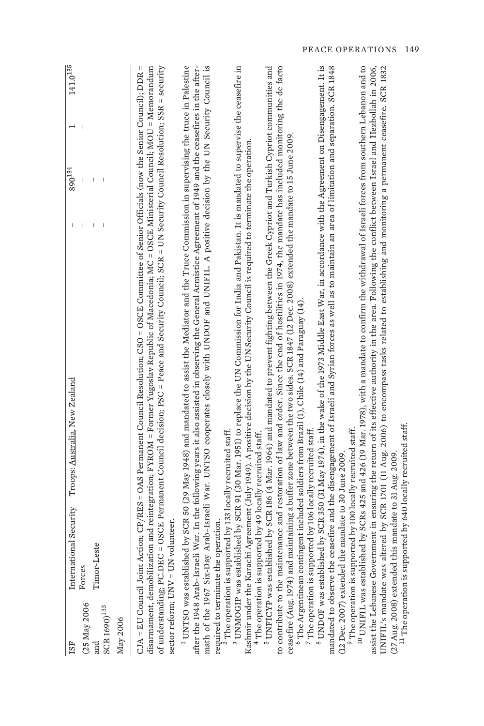| <b>ISF</b>                                                           | Troops: Australia, New Zealand<br>International Security                                                                                                                                                                                                                                                                                                                                                                                                                                                                                                                                                                             | J. | $890^{134}$ | $141.0^{135}$ |
|----------------------------------------------------------------------|--------------------------------------------------------------------------------------------------------------------------------------------------------------------------------------------------------------------------------------------------------------------------------------------------------------------------------------------------------------------------------------------------------------------------------------------------------------------------------------------------------------------------------------------------------------------------------------------------------------------------------------|----|-------------|---------------|
| (25 May 2006<br>$\rm{SCR}$ $\rm{1690)}^{\rm 133}$<br>May 2006<br>and | Timor-Leste<br>Forces                                                                                                                                                                                                                                                                                                                                                                                                                                                                                                                                                                                                                |    |             |               |
|                                                                      | of understanding; PC.DEC = OSCE Permanent Council decision; PSC = Peace and Security Council; SCR = UN Security Council Resolution; SSR = security<br>CJA = EU Council Joint Action; CP/RES = OAS Permanent Council Resolution; CSO = OSCE Committee of Senior Officials (now the Senior Council); DDR =<br>disarmament, demobilization and reintegration; FYROM = Former Yugoslav Republic of Macedonia; MC = OSCE Ministerial Council; MOU = Memorandum<br>sector reform; UNV = UN volunteer.                                                                                                                                      |    |             |               |
| after the 1948 Arab-Israeli<br>math of the 1967 Six-Day              | <sup>1</sup> UNTSO was established by SCR 50 (29 May 1948) and mandated to assist the Mediator and the Truce Commission in supervising the truce in Palestine<br>War. In the following years it also assisted in observing the General Armistice Agreement of 1949 and the ceasefires in the after-<br>Arab-Israeli War. UNTSO cooperates closely with UNDOF and UNIFIL. A positive decision by the UN Security Council is<br>required to terminate the operation.                                                                                                                                                                   |    |             |               |
|                                                                      | <sup>3</sup> UNMOGIP was established by SCR 91 (30 Mar. 1951) to replace the UN Commission for India and Pakistan. It is mandated to supervise the ceasefire in<br>Kashmir under the Karachi Agreement (July 1949). A positive decision by the UN Security Council is required to terminate the operation.<br>$2$ The operation is supported by 133 locally recruited staff.<br><sup>4</sup> The operation is supported by 49 locally recruited staff.                                                                                                                                                                               |    |             |               |
|                                                                      | to contribute to the maintenance and restoration of law and order. Since the end of hostilities in 1974, the mandate has included monitoring the de facto<br>$^5$ UNFICYP was established by SCR 186 (4 Mar. 1964) and mandated to prevent fighting between the Greek Cypriot and Turkish Cypriot communities and<br>ceasefire (Aug. 1974) and maintaining a buffer zone between the two sides. SCR 1847 (12 Dec. 2008) extended the mandate to 15 June 2009.<br>$^6$ The Argentinean contingent included soldiers from Brazil (1), Chile (14) and Paraguay (14).<br>$^7$ The operation is supported by 106 locally recruited staff. |    |             |               |
|                                                                      | $^8$ UNDOF was established by SCR 350 (31 May 1974), in the wake of the 1973 Middle East War, in accordance with the Agreement on Disengagement. It is<br>mandated to observe the ceasefire and the disengagement of Israeli and Syrian forces as well as to maintain an area of limitation and separation. SCR 1848<br><sup>9</sup> The operation is supported by 100 locally recruited staff.<br>(12 Dec. 2007) extended the mandate to 30 June 2009                                                                                                                                                                               |    |             |               |
|                                                                      | $^{10}$ UNIFIL was established by SCRs 425 and 426 (19 Mar. 1978), with a mandate to confirm the withdrawal of Israeli forces from southern Lebanon and to<br>assist the Lebanese Government in ensuring the return of its effective authority in the area. Following the conflict between Israel and Hezbollah in 2006,<br>UNIFIL's mandate was altered by SCR 1701 (11 Aug. 2006) to encompass tasks related to establishing and monitoring a permanent ceasefire. SCR 1832<br><sup>11</sup> The operation is supported by 640 locally recruited staff.<br>(27 Aug. 2008) extended this mandate to 31 Aug. 2009                    |    |             |               |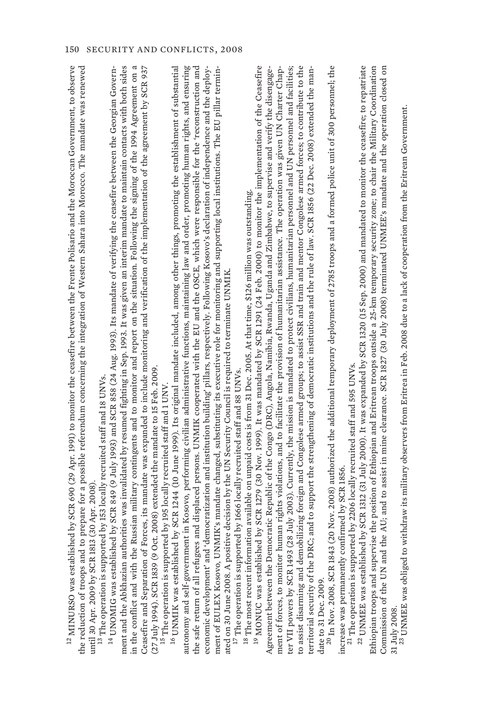| Commission of the UN and the AU; and to assist in mine clearance. SCR 1827 (30 July 2008) terminated UNMEE's mandate and the operation closed on<br>Ethiopian troops and supervise the position of Ethiopian and Eritrean troops outside a 25-km temporary security zone; to chair the Military Coordination                |
|-----------------------------------------------------------------------------------------------------------------------------------------------------------------------------------------------------------------------------------------------------------------------------------------------------------------------------|
| <sup>22</sup> UNMEE was established by SCR 1312 (31 July 2000). It was expanded by SCR 1320 (15 Sep. 2000) and mandated to monitor the ceasefire; to repatriate                                                                                                                                                             |
| <sup>21</sup> The operation is supported by 2206 locally recruited staff and 595 UNVs.                                                                                                                                                                                                                                      |
| increase was permanently confirmed by SCR 1856.                                                                                                                                                                                                                                                                             |
| date to 31 Dec. 2009.<br><sup>20</sup> In Nov. 2008, SCR 1843 (20 Nov. 2008) authorized the additional temporary deployment of 2785 troops and a formed police unit of 300 personnel; the                                                                                                                                   |
| RC; and to support the strengthening of democratic institutions and the rule of law. SCR 1856 (22 Dec. 2008) extended the man-<br>territorial security of the D                                                                                                                                                             |
| ter VII powers by SCR 1493 (28 July 2003). Currently, the mission is mandated to protect civilians, humanitarian personnel and UN personnel and facilities;<br>to assist disarming and demobilizing foreign and Congolese armed groups; to assist SSR and train and mentor Congolese armed forces; to contribute to the     |
| human rights violations, and to facilitate the provision of humanitarian assistance. The operation was given UN Charter Chap-<br>Agreement between the Democratic Republic of the Congo (DRC), Angola, Namibia, Rwanda, Uganda and Zimbabwe, to supervise and verify the disengage-<br>ment of forces, to monitor           |
| <sup>19</sup> MONUC was established by SCR 1279 (30 Nov. 1999). It was mandated by SCR 1291 (24 Feb. 2000) to monitor the implementation of the Ceasefire<br><sup>18</sup> The most recent information available on unpaid costs is from 31 Dec. 2005. At that time, \$126 million was outstanding.                         |
| ated on 30 June 2008. A positive decision by the UN Security Council is required to terminate UNMIK.<br><sup>17</sup> The operation is supported by 1666 locally recruited staff and 88 UNVs.                                                                                                                               |
| economic development' and 'democratization and institution building' pillars, respectively. Following Kosovo's declaration of independence and the deploy-<br>$\rm{ment}$ of EULEX Kosovo, UNMIK's mandate changed, substituting its executive role for monitoring and supporting local institutions. The EU pillar termin- |
| autonomy and self-government in Kosovo, performing civilian administrative functions, maintaining law and order, promoting human rights, and ensuring<br>the safe return of all refugees and displaced persons. UNMIK cooperated with the EU and the OSCE, which were responsible for the 'reconstruction and               |
| $^{16}$ UNMIK was established by SCR 1244 (10 June 1999). Its original mandate included, among other things, promoting the establishment of substantial<br>orted by 195 locally recruited staff and 1 UNV<br><sup>15</sup> The operation is suppo                                                                           |
| Ceasefire and Separation of Forces, its mandate was expanded to include monitoring and verification of the implementation of the agreement by SCR 937<br>Oct. 2008) extended the mandate to 15 Feb. 2009.<br>(27 July 1994). SCR 1839 (9                                                                                    |
| ment and the Abkhazian authorities was invalidated by resumed fighting in Sep. 1993. It was given an interim mandate to maintain contacts with both sides<br>in the conflict and with the Russian military contingents and to monitor and report on the situation. Following the signing of the 1994 Agreement on a         |
| $^{14}$ UNOMIG was established by SCR 849 (9 July 1993) and SCR 858 (24 Aug. 1993). Its mandate of verifying the ceasefire between the Georgian Govern-<br><sup>13</sup> The operation is supported by 153 locally recruited staff and 18 UNVs.                                                                             |
| d to prepare for a possible referendum concerning the integration of Western Sahara into Morocco. The mandate was renewed<br>until 30 Apr. 2009 by SCR 1813 (30 Apr. 2008)<br>the reduction of troops and                                                                                                                   |
| $^{12}$ MINURSO was established by SCR 690 (29 Apr. 1991) to monitor the ceasefire between the Frente Polisario and the Moroccan Government, to observe                                                                                                                                                                     |

Commission of the UN and the AU; and to assist in mine clearance. SCR 1827 (30 July 2008) terminated UNMEE's mandate and the operation closed and the station closed and the station closed of the station closed in the stati 23 UNMEE was obliged to withdraw its military observers from Eritrea in Feb. 2008 due to a lack of cooperation from the Eritrean Government. 31 July 2008.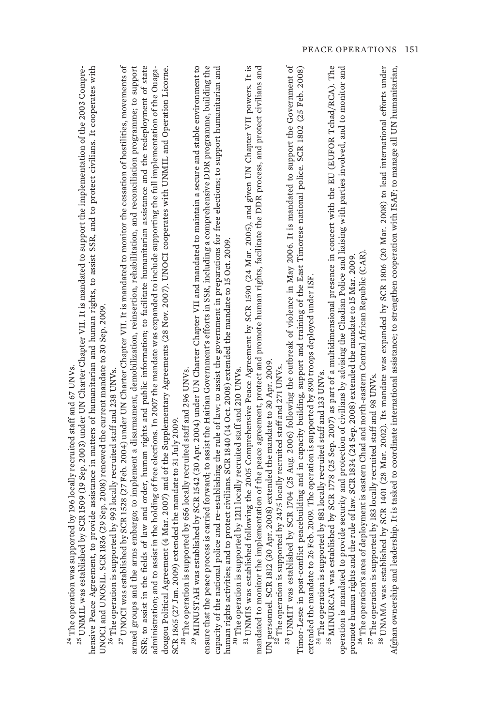| d                            |
|------------------------------|
|                              |
| j<br>l                       |
| ļ                            |
|                              |
|                              |
| į                            |
| i                            |
| ì<br>j                       |
|                              |
|                              |
|                              |
| ı                            |
| l                            |
| l                            |
|                              |
| l                            |
|                              |
| l                            |
| ١                            |
|                              |
|                              |
| ï                            |
|                              |
|                              |
|                              |
|                              |
| ۱                            |
| Children and Called          |
|                              |
|                              |
|                              |
|                              |
|                              |
|                              |
|                              |
|                              |
| í                            |
| $\frac{2}{1}$<br>ł<br>ì<br>ł |

hensive Peace Agreement, to provide assistance in matters of humanitarian and human rights, to assist SSR, and to protect civilians. It cooperates with hensive Peace Agreement, to provide assistance in matters of humanitarian and human rights, to assist SSR, and to protect civilians. It cooperates with <sup>25</sup> UNMIL was established by SCR 1509 (19 Sep. 2003) under UN Charter Chapter VII. It is mandated to support the implementation of the 2003 Compre- $^{25}$  UNMIL was established by SCR 1509 (19 Sep. 2003) under UN Charter Chapter VII. It is mandated to support the implementation of the 2003 Compre-UNOCI and UNOSIL. SCR 1836 (29 Sep. 2008) renewed the current mandate to 30 Sep. 2009. UNOCI and UNOSIL. SCR 1836 (29 Sep. 2008) renewed the current mandate to 30 Sep. 2009.

<sup>26</sup> The operation is supported by 993 locally recruited staff and 238 UNVs. 26 The operation is supported by 993 locally recruited staff and 238 UNVs.

 $^{27}$  UNOCI was established by SCR 1528 (27 Feb. 2004) under UN Charter Chapter VII. It is mandated to monitor the cessation of hostilities, movements of  $^{27}$  UNOCI was established by SCR 1528 (27 Feb. 2004) under UN Charter Chapter VII. It is mandated to monitor the cessation of hostilities, movements of armed groups and the arms embargo; to implement a disarmament, demobilization, reinsertion, rehabilitation, and reconciliation programme; to support armed groups and the arms embargo; to implement a disarmament, demobilization, reinsertion, rehabilitation, and reconciliation programme; to support SSR; to assist in the fields of law and order, human rights and public information; to facilitate humanitarian assistance and the redeployment of state SSR; to assist in the fields of law and order, human rights and public information; to facilitate humanitarian assistance and the redeployment of state administration; and to assist in the holding of free elections. In 2007 the mandate was expanded to include supporting the full implementation of the Ouagadougou Political Agreement (4 Mar. 2007) and of the Supplementary Agreements (28 Nov. 2007). UNOCI cooperates with UNMIL and Operation Licorne. dougou Political Agreement (4 Mar. 2007) and of the Supplementary Agreements (28 Nov. 2007). UNOCI cooperates with UNMIL and Operation Licorne. administration; and to assist in the holding of free elections. In 2007 the mandate was expanded to include supporting the full implementation of the Ouaga-SCR 1865 (27 Jan. 2009) extended the mandate to 31 July 2009. SCR 1865 (27 Jan. 2009) extended the mandate to 31 July 2009.

<sup>28</sup> The operation is supported by 656 locally recruited staff and 296 UNVs. 28 The operation is supported by 656 locally recruited staff and 296 UNVs.

<sup>29</sup> MINUSTAH was established by SCR 1542 (30 Apr. 2004) under UN Charter Chapter VII and mandated to maintain a secure and stable environment to 29 MINUSTAH was established by SCR 1542 (30 Apr. 2004) under UN Charter Chapter VII and mandated to maintain a secure and stable environment to ensure that the peace process is carried forward; to assist the Haitian Government's efforts in SSR, including a comprehensive DDR programme, building the ensure that the peace process is carried forward; to assist the Haitian Government's efforts in SSR, including a comprehensive DDR programme, building the capacity of the national police and re-establishing the rule of law; to assist the government in preparations for free elections; to support humanitarian and capacity of the national police and re-establishing the rule of law; to assist the government in preparations for free elections; to support humanitarian and human rights activities; and to protect civilians. SCR 1840 (14 Oct. 2008) extended the mandate to 15 Oct. 2009. human rights activities; and to protect civilians. SCR 1840 (14 Oct. 2008) extended the mandate to 15 Oct. 2009.

<sup>30</sup> The operation is supported by 1211 locally recruited staff and 210 UNVs. 30 The operation is supported by 1211 locally recruited staff and 210 UNVs.

<sup>31</sup> UNMIS was established following the 2005 Comprehensive Peace Agreement by SCR 1590 (24 Mar. 2005), and given UN Chapter VII powers. It is 31 UNMIS was established following the 2005 Comprehensive Peace Agreement by SCR 1590 (24 Mar. 2005), and given UN Chapter VII powers. It is mandated to monitor the implementation of the peace agreement, protect and promote human rights, facilitate the DDR process, and protect civilians and mandated to monitor the implementation of the peace agreement, protect and promote human rights, facilitate the DDR process, and protect civilians and UN personnel. SCR 1812 (30 Apr. 2008) extended the mandate to 30 Apr. 2009. UN personnel. SCR 1812 (30 Apr. 2008) extended the mandate to 30 Apr. 2009.

32 The operation is supported by 2475 locally recruited staff and 271 UNVs. <sup>32</sup> The operation is supported by 2475 locally recruited staff and 271 UNVs.

33 UNMIT was established by SCR 1704 (25 Aug. 2006) following the outbreak of violence in May 2006. It is mandated to support the Government of 33 UNMIT was established by SCR 1704 (25 Aug. 2006) following the outbreak of violence in May 2006. It is mandated to support the Government of Timor-Leste in post-conflict peacebuilding and in capacity building, support and training of the East Timorese national police. SCR 1802 (25 Feb. 2008) Timor-Leste in post-conflict peacebuilding and in capacity building, support and training of the East Timorese national police. SCR 1802 (25 Feb. 2008) extended the mandate to 26 Feb. 2009. The operation is supported by 890 troops deployed under ISF. extended the mandate to 26 Feb. 2009. The operation is supported by 890 troops deployed under ISF.

<sup>34</sup> The operation is supported by 881 locally recruited staff and 133 UNVs. 34 The operation is supported by 881 locally recruited staff and 133 UNVs.

<sup>35</sup> MINURCAT was established by SCR 1778 (25 Sep. 2007) as part of a multidimensional presence in concert with the EU (EUFOR Tchad/RCA). The 35 MINURCAT was established by SCR 1778 (25 Sep. 2007) as part of a multidimensional presence in concert with the EU (EUFOR Tchad/RCA). The operation is mandated to provide security and protection of civilians by advising the Chadian Police and liaising with parties involved, and to monitor and pperation is mandated to provide security and protection of civilians by advising the Chadian Police and liaising with parties involved, and to monitor and promote human rights and the rule of law. SCR 1834 (24 Sep. 2008) extended the mandate to 15 Mar. 2009. promote human rights and the rule of law. SCR 1834 (24 Sep. 2008) extended the mandate to 15 Mar. 2009.

36 The operation's area of deployment is eastern Chad and north-eastern Central African Republic (CAR).  $^{36}$  The operation's area of deployment is eastern Chad and north-eastern Central African Republic (CAR)

<sup>37</sup> The operation is supported by 183 locally recruited staff and 98 UNVs. 37 The operation is supported by 183 locally recruited staff and 98 UNVs.

<sup>38</sup> UNAMA was established by SCR 1401 (28 Mar. 2002). Its mandate was expanded by SCR 1806 (20 Mar. 2008) to lead international efforts under 38 UNAMA was established by SCR 1401 (28 Mar. 2002). Its mandate was expanded by SCR 1806 (20 Mar. 2008) to lead international efforts under Afghan ownership and leadership. It is tasked to coordinate international assistance; to strengthen cooperation with ISAF; to manage all UN humanitarian, Afghan ownership and leadership. It is tasked to coordinate international assistance; to strengthen cooperation with ISAF; to manage all UN humanitarian,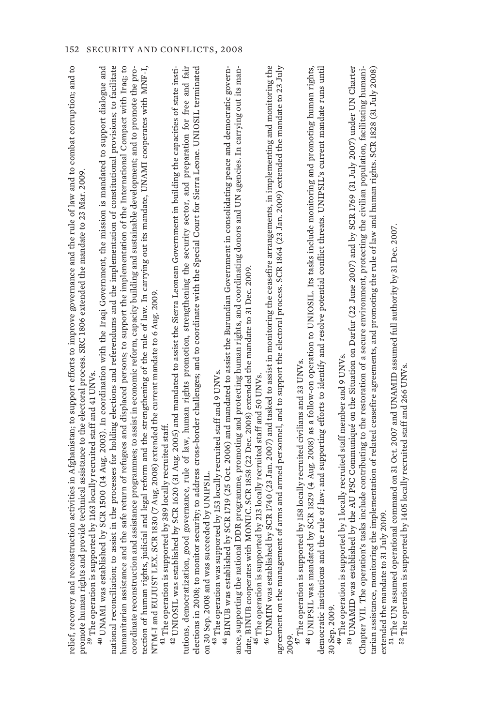| assist in the processes for holding elections and referendums and the implementation of constitutional provisions; to facilitate<br>relief, recovery and reconstruction activities in Afghanistan; to support efforts to improve governance and the rule of law and to combat corruption; and to<br><sup>40</sup> UNAMI was established by SCR 1500 (14 Aug. 2003). In coordination with the Iraqi Government, the mission is mandated to support dialogue and<br>nd the safe return of refugees and displaced persons; to support the implementation of the International Compact with Iraq; to<br>44 BINUB was established by SCR 1719 (25 Oct. 2006) and mandated to assist the Burundian Government in consolidating peace and democratic govern-<br>coordinate reconstruction and assistance programmes; to assist in economic reform, capacity building and sustainable development; and to promote the pro-<br>tection of human rights, judicial and legal reform and the strengthening of the rule of law. In carrying out its mandate, UNAMI cooperates with MNF-I,<br>$^{42}$ UNIOSIL was established by SCR 1620 (31 Aug. 2005) and mandated to assist the Sierra Leonean Government in building the capacities of state insti-<br>elections in 2008; to monitor security; to address cross-border challenges; and to coordinate with the Special Court for Sierra Leone. UNIOSIL terminated<br>nal DDR programme, promoting and protecting human rights, and coordinating donors and UN agencies. In carrying out its man-<br>good governance, rule of law, human rights promotion, strengthening the security sector, and preparation for free and fair<br>provide technical assistance to the electoral process. SRC 1806 extended the mandate to 23 Mar. 2009.<br>ith MONUC. SCR 1858 (22 Dec. 2008) extended the mandate to 31 Dec. 2009.<br>SCR 1830 (7 Aug. 2008) extended the current mandate to 6 Aug. 2009.<br>pported by 153 locally recruited staff and 9 UNVs.<br>promote human rights and provide technical assistance to the electoral proc<br><sup>39</sup> The operation is supported by 1163 locally recruited staff and 41 UNVs.<br>45 The operation is supported by 213 locally recruited staff and 50 UNVs.<br><sup>41</sup> The operation is supported by 389 locally recruited statt.<br>on 30 Sep. 2008 and was succeeded by UNIPSIL.<br>$\stackrel{43}{\sim}$ The operation was supported by 153 locally<br>national reconciliation; to<br>humanitarian assistance ar<br>NTM-I and EUJUST LEX.<br>ance, supporting the nation<br>date, BINUB cooperates wi<br>tutions, democratization, | $^{46}$ UNMIN was established by SCR 1740 (23 Jan. 2007) and tasked to assist in monitoring the ceasefire arrangements, in implementing and monitoring the<br>agreement on the management of arms and armed personnel, and to support the electoral process. SCR 1864 (23 Jan. 2009) extended the mandate to 23 July<br>2009. | <sup>48</sup> UNIPSIL was mandated by SCR 1829 (4 Aug. 2008) as a follow-on operation to UNIOSIL. Its tasks include monitoring and promoting human rights,<br>democratic institutions and the rule of law; and supporting efforts to identify and resolve potential conflict threats. UNIPSIL's current mandate runs until<br>$\rm ^{47}$ The operation is supported by 158 locally recruited civilians and 33 UNVs.<br>30 Sep. 2009. |
|-----------------------------------------------------------------------------------------------------------------------------------------------------------------------------------------------------------------------------------------------------------------------------------------------------------------------------------------------------------------------------------------------------------------------------------------------------------------------------------------------------------------------------------------------------------------------------------------------------------------------------------------------------------------------------------------------------------------------------------------------------------------------------------------------------------------------------------------------------------------------------------------------------------------------------------------------------------------------------------------------------------------------------------------------------------------------------------------------------------------------------------------------------------------------------------------------------------------------------------------------------------------------------------------------------------------------------------------------------------------------------------------------------------------------------------------------------------------------------------------------------------------------------------------------------------------------------------------------------------------------------------------------------------------------------------------------------------------------------------------------------------------------------------------------------------------------------------------------------------------------------------------------------------------------------------------------------------------------------------------------------------------------------------------------------------------------------------------------------------------------------------------------------------------------------------------------------------------------------------------------------------------------------------------------------------------------------------------------------------------------------------------------------------------------------------------------------------------------------------------------------------------------------------------------------------------------------------------------------------------------------|-------------------------------------------------------------------------------------------------------------------------------------------------------------------------------------------------------------------------------------------------------------------------------------------------------------------------------|---------------------------------------------------------------------------------------------------------------------------------------------------------------------------------------------------------------------------------------------------------------------------------------------------------------------------------------------------------------------------------------------------------------------------------------|
|-----------------------------------------------------------------------------------------------------------------------------------------------------------------------------------------------------------------------------------------------------------------------------------------------------------------------------------------------------------------------------------------------------------------------------------------------------------------------------------------------------------------------------------------------------------------------------------------------------------------------------------------------------------------------------------------------------------------------------------------------------------------------------------------------------------------------------------------------------------------------------------------------------------------------------------------------------------------------------------------------------------------------------------------------------------------------------------------------------------------------------------------------------------------------------------------------------------------------------------------------------------------------------------------------------------------------------------------------------------------------------------------------------------------------------------------------------------------------------------------------------------------------------------------------------------------------------------------------------------------------------------------------------------------------------------------------------------------------------------------------------------------------------------------------------------------------------------------------------------------------------------------------------------------------------------------------------------------------------------------------------------------------------------------------------------------------------------------------------------------------------------------------------------------------------------------------------------------------------------------------------------------------------------------------------------------------------------------------------------------------------------------------------------------------------------------------------------------------------------------------------------------------------------------------------------------------------------------------------------------------------|-------------------------------------------------------------------------------------------------------------------------------------------------------------------------------------------------------------------------------------------------------------------------------------------------------------------------------|---------------------------------------------------------------------------------------------------------------------------------------------------------------------------------------------------------------------------------------------------------------------------------------------------------------------------------------------------------------------------------------------------------------------------------------|

49 The operation is supported by 1 locally recruited staff member and 9 UNVs. <sup>49</sup> The operation is supported by 1 locally recruited staff member and 9 UNVs.

50 UNAMID was established by the AU PSC Communiqué on the Situation on Darfur (22 June 2007) and by SCR 1769 (31 July 2007) under UN Charter 50 UNAMID was established by the AU PSC Communiqué on the Situation on Darfur (22 June 2007) and by SCR 1769 (31 July 2007) under UN Charter Chapter VII. The operation's tasks include contributing to the restoration of a secure environment, protecting the civilian population, facilitating humanitarian assistance, monitoring the implementation of related ceasefire agreements, and promoting the rule of law and human rights. SCR 1828 (31 July 2008) tarian assistance, monitoring the implementation of related ceasefire agreements, and promoting the rule of law and human rights. SCR 1828 (31 July 2008) Chapter VII. The operation's tasks include contributing to the restoration of a secure environment, protecting the civilian population, facilitating humaniextended the mandate to 31 July 2009. extended the mandate to 31 July 2009.

<sup>51</sup> The UN assumed operational command on 31 Oct. 2007 and UNAMID assumed full authority by 31 Dec. 2007. 51 The UN assumed operational command on 31 Oct. 2007 and UNAMID assumed full authority by 31 Dec. 2007.

 $^{52}$  The operation is supported by 1405 locally recruited staff and 266 UNVs. 52 The operation is supported by 1405 locally recruited staff and 266 UNVs.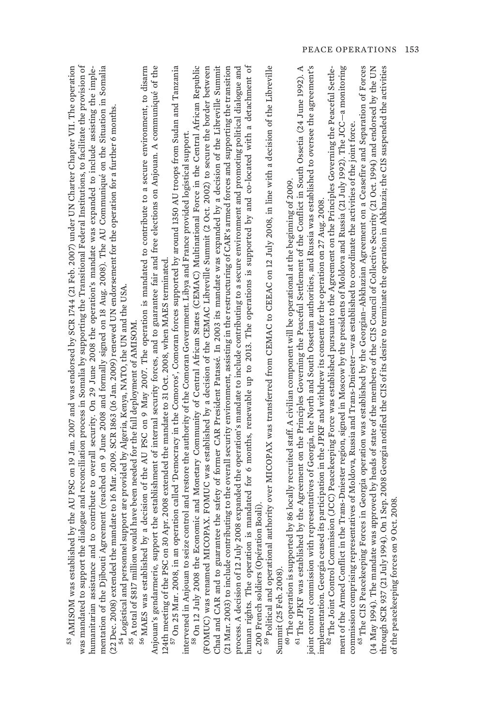| was mandated to support the dialogue and reconciliation process in Somalia by supporting the Transitional Federal Institutions, to facilitate the provision of<br><sup>55</sup> AMISOM was established by the AU PSC on 19 Jan. 2007 and was endorsed by SCR 1744 (21 Feb. 2007) under UN Charter Chapter VII. The operation<br>mentation of the Djibouti Agreement (reached on 9 June 2008 and formally signed on 18 Aug. 2008). The AU Communiqué on the Situation in Somalia<br>d to contribute to overall security. On 29 June 2008 the operation's mandate was expanded to include assisting the imple-<br>(22 Dec. 2008) extended the mandate to 16 Mar. 2009. SCR 1863 (16 Jan. 2009) renewed UN endorsement for the operation for a further 6 months.<br><sup>54</sup> Logistical and personnel support are provided by Algeria, Kenya, NATO, the UN and the USA.<br>55 A total of \$817 million would have been needed for the full deployment of AMISOM. | Anjouan's gendarmerie, support the establishment of internal security forces, and to guarantee fair and free elections on Anjouan. A communiqué of the<br>56 MAES was established by a decision of the AU PSC on 9 May 2007. The operation is mandated to contribute to a secure environment, to disarm | 124th meeting of the PSC on 30 Apr. 2008 extended the mandate to 31 Oct. 2008, when MAES terminated.<br><sup>57</sup> On 25 Mar. 2008, in an operation called 'Democracy in the Comoros', Comoran forces supported by around 1350 AU troo<br>Economic and Monetary Community of Central African States (CEMAC) Multinational Force in the Central African Republic<br>(FOMUC) was renamed MICOPAX. FOMUC was established by a decision of the CEMAC Libreville Summit (2 Oct. 2002) to secure the border between<br>intervened in Anjouan to seize control and restore the authority of the Comoran Government. Libya and France provided logistical support. | Chad and CAR and to guarantee the safety of former CAR President Patassé. In 2003 its mandate was expanded by a decision of the Libreville Summit<br>(21 Mar. 2003) to include contributing to the overall security environment, assisting in the restructuring of CAR's armed forces and supporting the transition<br>ly 2008 expanded the operation's mandate to include contributing to a secure environment and promoting political dialogue and | human rights. The operation is mandated for 6 months, renewable up to 2013. The operations is supported by and co-located with a detachment of | al authority over MICOPAX was transferred from CEMAC to CEEAC on 12 July 2008, in line with a decision of the Libreville | joint control commission with representatives of Georgia, the North and South Ossetian authorities, and Russia was established to oversee the agreement's<br>$^{60}$ The operation is supported by 86 locally recruited staff. A civilian component will be operational at the beginning of 2009.<br><sup>61</sup> The JFKF was established by the Agreement on the Principles Governing the Peaceful S | ment of the Armed Conflict in the Trans-Dniester region, signed in Moscow by the presidents of Moldova and Russia (21 July 1992). The JCC–a monitoring<br>implementation. Georgia ceased its participation in the JPKF and withdrew its consent for the operation on 27 Aug. 2008.<br><sup>62</sup> The Joint Control Commission (JCC) Peacekeeping Force was established pursuant to the Agreement<br>commission comprising representatives of Moldova, Russia and Trans-Dniester–was established to coordinate the activities of the joint force. | 65 The CIS Peacekeeping Forces in Georgia operation was established by the Georgian-Abkhazian Agreement on a Ceasefire and Separation of Forces<br>through SCR 937 (21 July 1994). On 1 Sep. 2008 Georgia notified the CIS of its desire to terminate the operation in Abkhazia; the CIS suspended the activities<br>(14 May 1994). The mandate was approved by heads of state of the members of the CIS Council of Collective Security (21 Oct. 1994) and endorsed by the UN<br>on 9 Oct. 2008 |
|--------------------------------------------------------------------------------------------------------------------------------------------------------------------------------------------------------------------------------------------------------------------------------------------------------------------------------------------------------------------------------------------------------------------------------------------------------------------------------------------------------------------------------------------------------------------------------------------------------------------------------------------------------------------------------------------------------------------------------------------------------------------------------------------------------------------------------------------------------------------------------------------------------------------------------------------------------------------|---------------------------------------------------------------------------------------------------------------------------------------------------------------------------------------------------------------------------------------------------------------------------------------------------------|---------------------------------------------------------------------------------------------------------------------------------------------------------------------------------------------------------------------------------------------------------------------------------------------------------------------------------------------------------------------------------------------------------------------------------------------------------------------------------------------------------------------------------------------------------------------------------------------------------------------------------------------------------------|------------------------------------------------------------------------------------------------------------------------------------------------------------------------------------------------------------------------------------------------------------------------------------------------------------------------------------------------------------------------------------------------------------------------------------------------------|------------------------------------------------------------------------------------------------------------------------------------------------|--------------------------------------------------------------------------------------------------------------------------|---------------------------------------------------------------------------------------------------------------------------------------------------------------------------------------------------------------------------------------------------------------------------------------------------------------------------------------------------------------------------------------------------------|-----------------------------------------------------------------------------------------------------------------------------------------------------------------------------------------------------------------------------------------------------------------------------------------------------------------------------------------------------------------------------------------------------------------------------------------------------------------------------------------------------------------------------------------------------|-------------------------------------------------------------------------------------------------------------------------------------------------------------------------------------------------------------------------------------------------------------------------------------------------------------------------------------------------------------------------------------------------------------------------------------------------------------------------------------------------|
| humanitarian assistance ar                                                                                                                                                                                                                                                                                                                                                                                                                                                                                                                                                                                                                                                                                                                                                                                                                                                                                                                                         |                                                                                                                                                                                                                                                                                                         | <sup>58</sup> On 12 July 2008 the                                                                                                                                                                                                                                                                                                                                                                                                                                                                                                                                                                                                                             | process. A decision of 12 Ju                                                                                                                                                                                                                                                                                                                                                                                                                         | c. 200 French soldiers (Opération Boali)                                                                                                       | <sup>59</sup> Political and operation<br>Summit (25 Feb. 2008).                                                          |                                                                                                                                                                                                                                                                                                                                                                                                         |                                                                                                                                                                                                                                                                                                                                                                                                                                                                                                                                                     | of the peacekeeping forces                                                                                                                                                                                                                                                                                                                                                                                                                                                                      |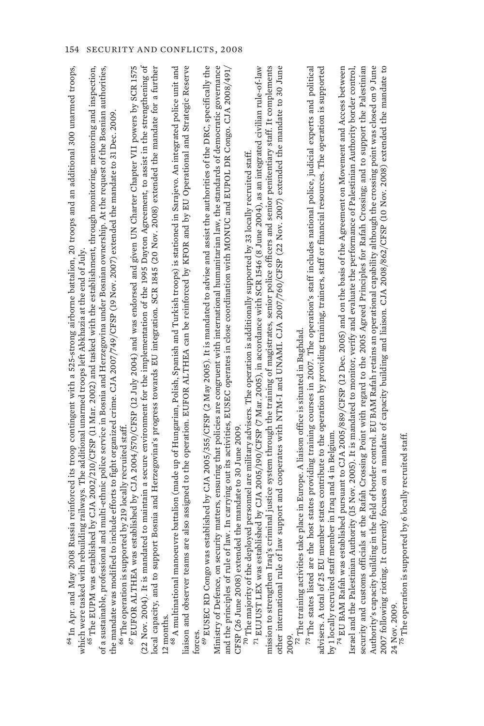| 24 Nov. 2009.                                                                                                                                                                                                                                                                                                                       |
|-------------------------------------------------------------------------------------------------------------------------------------------------------------------------------------------------------------------------------------------------------------------------------------------------------------------------------------|
| currently focuses on a mandate of capacity building and liaison. CJA 2008/862/CFSP (10 Nov. 2008) extended the mandate to<br>Authority's capacity building in the field of border control. EU BAM Rafah retains an operational capability although the crossing point was closed on 9 June<br>2007 following rioting. It            |
| security and customs officials at the Rafah Crossing Point with regard to the 2005 Agreed Principles for Rafah Crossing; and to support the Palestinian                                                                                                                                                                             |
| Authority (15 Nov. 2005). It is mandated to monitor, verify and evaluate the performance of Palestinian Authority border control,<br>Israel and the Palestinian                                                                                                                                                                     |
| by 1 locally recruited staff member in Iraq and 4 in Belgium.<br><sup>74</sup> EU BAM Rafah was established pursuant to CJA 2005/889/CFSP (12 Dec. 2005) and on the basis of the Agreement on Movement and Access between                                                                                                           |
| member states contribute to the operation by providing training, trainers, staff or financial resources. The operation is supported<br>73 The states listed are the host states providing training courses in 2007. The operation's staff includes national police, judicial experts and political<br>advisers. A total of 25 EU    |
| $^{22}$ The training activities take place in Europe. A liaison office is situated in Baghdad.<br>2009.                                                                                                                                                                                                                             |
| 's criminal justice system through the training of magistrates, senior police officers and senior penitentiary staff. It complements<br>law support and cooperates with NTM-I and UNAMI. CJA 2007/760/CFSP (22 Nov. 2007) extended the mandate to 30 June<br>mission to strengthen Iraq<br>other international rule of              |
| <sup>70</sup> The majority of the deployed personnel are military advisers. The operation is additionally supported by 33 locally recruited staff.<br><sup>71</sup> EUJUST LEX was established by CJA 2005/190/CFSP (7 Mar. 2005), in accordance w                                                                                  |
| and the principles of rule of law. In carrying out its activities, EUSEC operates in close coordination with MONUC and EUPOL DR Congo. CJA 2008/491/<br>CFSP (26 June 2008) extended the mandate to 30 June 2009                                                                                                                    |
| is established by CJA 2005/355/CFSP (2 May 2005). It is mandated to advise and assist the authorities of the DRC, specifically the<br>Ministry of Defence, on security matters, ensuring that policies are congruent with international humanitarian law, the standards of democratic governance<br><sup>69</sup> EUSEC RD Congo wa |
| are also assigned to the operation. EUFOR ALTHEA can be reinforced by KFOR and by EU Operational and Strategic Reserve<br>liaison and observer teams<br>forces.                                                                                                                                                                     |
| euvre battalion (made up of Hungarian, Polish, Spanish and Turkish troops) is stationed in Sarajevo. An integrated police unit and<br>12 months.<br><sup>68</sup> A multinational mano                                                                                                                                              |
| (22 Nov. 2004). It is mandated to maintain a secure environment for the implementation of the 1995 Dayton Agreement, to assist in the strengthening of<br>local capacity, and to support Bosnia and Herzegovina's progress towards EU integration. SCR 1845 (20 Nov. 2008) extended the mandate for a further                       |
| $^{67}$ EUFOR ALTHEA was established by CJA 2004/570/CFSP (12 July 2004) and was endorsed and given UN Charter Chapter VII powers by SCR 1575<br><sup>66</sup> The operation is supported by 219 locally recruited staff                                                                                                            |
| to include efforts to fight organized crime. CJA 2007/749/CFSP (19 Nov. 2007) extended the mandate to 31 Dec. 2009<br>the mandate was modified                                                                                                                                                                                      |
| $^{65}$ The EUPM was established by CJA 2002/210/CFSP (11 Mar. 2002) and tasked with the establishment, through monitoring, mentoring and inspection,<br>al and multi-ethnic police service in Bosnia and Herzegovina under Bosnian ownership. At the request of the Bosnian authorities,<br>of a sustainable, profession           |
| <sup>64</sup> In Apr. and May 2008 Russia reinforced its troop contingent with a 525-strong airborne battalion, 20 troops and an additional 300 unarmed troops,<br>which were tasked with rebuilding railways. The additional unarmed troops left Abkhazia at the end of July.                                                      |
|                                                                                                                                                                                                                                                                                                                                     |

 $^{75}$  The operation is supported by 6 locally recruited staff.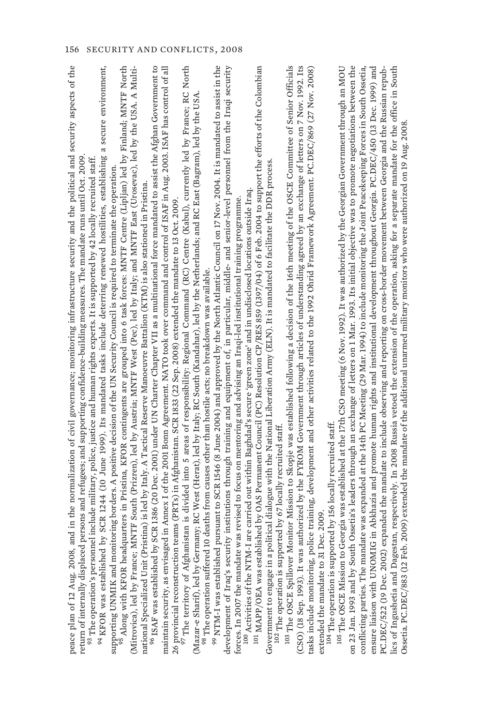| and in the normalization of civil governance; monitoring infrastructure security and the political and security aspects of the<br>return of internally displaced persons and refugees; and supporting confidence-building measures. The mandate runs until Oct. 2009.<br>peace plan of 12 Aug. 2008,                                                                                                                                   |  |
|----------------------------------------------------------------------------------------------------------------------------------------------------------------------------------------------------------------------------------------------------------------------------------------------------------------------------------------------------------------------------------------------------------------------------------------|--|
| a secure environment,<br>94 KFOR was established by SCR 1244 (10 June 1999). Its mandated tasks include deterring renewed hostilities, establishing<br>$^{93}$ The operation's personnel include military, police, justice and human rights experts. It is supported by 42 locally recruited staff.<br>supporting UNMIK and monitoring borders. A positive decision of the UN Security Council is required to terminate the operation. |  |
| <sup>95</sup> Along with KFOR headquarters in Pristina, KFOR contingents are grouped into 6 task forces: MNTF Centre (Lipljan) led by Finland; MNTF North<br>(Mitrovica), led by France; MNTF South (Prizren), led by Austria; MNTF West (                                                                                                                                                                                             |  |
| yy SCR 1386 (20 Dec. 2001) under UN Charter Chapter VII as a multinational force mandated to assist the Afghan Government to<br>national Specialized Unit (Pristina) is led by Italy. A Tactical Reserve Manoeuvre Battalion (KTM) is also stationed in Pristina.<br>96 ISAF was established b                                                                                                                                         |  |
| maintain security, as envisaged in Annex I of the 2001 Bonn Agreement. NATO took over command and control of ISAF in Aug. 2003. ISAF has control of all<br>26 provincial reconstruction teams (PRTs) in Afghanistan. SCR 1833 (22 Sep. 2008) extended the mandate to 13 Oct. 2009.                                                                                                                                                     |  |
| $^{97}$ The territory of Afghanistan is divided into 5 areas of responsibility: Regional Command (RC) Centre (Kabul), currently led by France; RC North<br>(Mazar-e Sharif), led by Germany; RC West (Herat), led by Italy; RC South (Kandahar), led by the Netherlands; and RC East (Bagram), led by the USA<br>10 deaths from causes other than hostile acts; no breakdown was available.<br>98 The operation suffered               |  |
| 99 NTM-I was established pursuant to SCR 1546 (8 June 2004) and approved by the North Atlantic Council on 17 Nov. 2004. It is mandated to assist in the                                                                                                                                                                                                                                                                                |  |
| development of Iraq's security institutions through training and equipment of, in particular, middle- and senior-level personnel from the Iraqi security<br>was revised to focus on mentoring and advising an Iraqi-led institutional training programme.<br>forces. In 2007 the mandate                                                                                                                                               |  |
| 101 MAPP/OEA was established by OAS Permanent Council (PC) Resolution CP/RES 859 (1397/04) of 6 Feb. 2004 to support the efforts of the Colombian<br>-I are carried out within Baghdad's secure 'green zone' and in undisclosed locations outside Iraq.<br><sup>100</sup> Activities of the NTM                                                                                                                                        |  |
| Government to engage in a political dialogue with the National Liberation Army (ELN). It is mandated to facilitate the DDR process.                                                                                                                                                                                                                                                                                                    |  |
| 103 The OSCE Spillover Monitor Mission to Skopje was established following a decision of the 16th meeting of the OSCE Committee of Senior Officials<br>102 The operation is supported by 67 locally recruited staff.                                                                                                                                                                                                                   |  |
| (CSO) (18 Sep. 1993). It was authorized by the FYROM Government through articles of understanding agreed by an exchange of letters on 7 Nov. 1992. Its                                                                                                                                                                                                                                                                                 |  |
| tasks include monitoring, police training, development and other activities related to the 1992 Ohrid Framework Agreement. PC.DEC/869 (27 Nov. 2008)<br>Dec. 2009<br>extended the mandate to 31                                                                                                                                                                                                                                        |  |
| 104 The operation is supported by 156 locally recruited staff.                                                                                                                                                                                                                                                                                                                                                                         |  |
| Georgia was established at the 17th CSO meeting (6 Nov. 1992). It was authorized by the Georgian Government through an MOU<br>th Ossetia's leaders through an exchange of letters on 1 Mar. 1993. Its initial objective was to promote negotiations between the<br><sup>105</sup> The OSCE Mission to<br>on 23 Jan. 1993 and by Sout                                                                                                   |  |
| conflicting parties. The mandate was expanded at the 14th PC Meeting (29 Mar. 1994) to include monitoring the Joint Peacekeeping Forces in South Ossetia,                                                                                                                                                                                                                                                                              |  |
| IG in Abkhazia and promote human rights and institutional development throughout Georgia. PC.DEC/450 (13 Dec. 1999) and<br>ensure liaison with UNOM                                                                                                                                                                                                                                                                                    |  |
| expanded the mandate to include observing and reporting on cross-border movement between Georgia and the Russian repub-<br>PC.DEC/522 (19 Dec. 2002)                                                                                                                                                                                                                                                                                   |  |
| lics of Ingushetia and Dagestan, respectively. In 2008 Russia vetoed the extension of the operation, asking for a separate mandate for the office in South<br>Ossetia. PC.DEC/883 (12 Feb. 2009) extended the mandate of the addi                                                                                                                                                                                                      |  |
|                                                                                                                                                                                                                                                                                                                                                                                                                                        |  |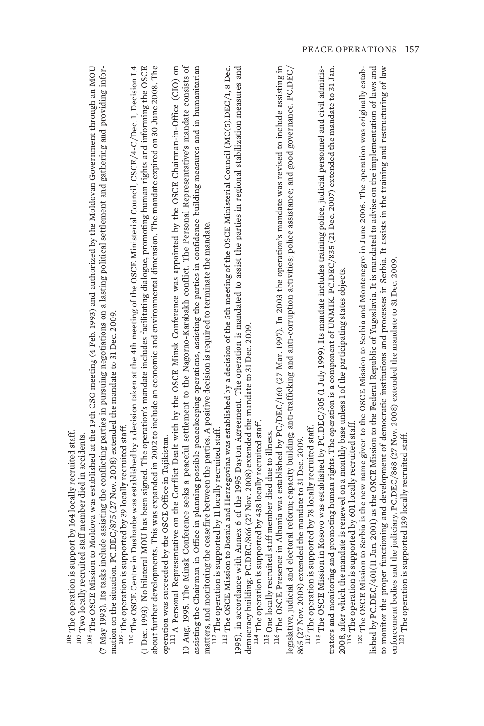| ;                         |            |
|---------------------------|------------|
| $\vdots$                  |            |
| ¢                         |            |
|                           |            |
| đ                         |            |
|                           |            |
|                           | ׇ֖֚֚֚֚֬֕֝֬ |
| i                         |            |
|                           |            |
| j<br>\$<br>$\overline{a}$ |            |
| I<br>l                    | ł,         |
|                           |            |
|                           |            |
| $\frac{1}{2}$             | l,         |
|                           |            |
|                           |            |
| ı                         |            |
| בירות המירוח<br>ı         |            |
|                           |            |
|                           |            |
|                           |            |
| Ì                         | i          |
| I                         |            |
| C esc<br>ı                |            |
|                           |            |
| $\frac{1}{2}$<br>ł<br>i   |            |
| ł                         |            |
| ¢<br>١                    | I<br>¢     |
| ł                         |            |

107 Two locally recruited staff member died in accidents. " Two locally recruited staff member died in accidents.

<sup>108</sup> The OSCE Mission to Moldova was established at the 19th CSO meeting (4 Feb. 1993) and authorized by the Moldovan Government through an MOU  $^{108}$  The OSCE Mission to Moldova was established at the 19th CSO meeting (4 Feb. 1993) and authorized by the Moldovan Government through an MOU (7 May 1993). Its tasks include assisting the conflicting parties in pursuing negotiations on a lasting political settlement and gathering and providing infor-(7 May 1993). Its tasks include assisting the conflicting parties in pursuing negotiations on a lasting political settlement and gathering and providing information on the situation. PC.DEC/875 (27 Nov. 2008) extended the mandate to 31 Dec. 2009. mation on the situation. PC.DEC/875 (27 Nov. 2008) extended the mandate to 31 Dec. 2009.

109 The operation is supported by 39 locally recruited staff. 109 The operation is supported by 39 locally recruited staff.

<sup>110</sup> The OSCE Centre in Dushanbe was established by a decision taken at the 4th meeting of the OSCE Ministerial Council, CSCE/4-C/Dec. 1, Decision 1.4  $^{110}$  The OSCE Centre in Dushanbe was established by a decision taken at the 4th meeting of the OSCE Ministerial Council, CSCE/4-C/Dec. 1, Decision I.4 (1 Dec. 1993). No bilateral MOU has been signed. The operation's mandate includes facilitating dialogue, promoting human rights and informing the OSCE (1 Dec. 1993). No bilateral MOU has been signed. The operation's mandate includes facilitating dialogue, promoting human rights and informing the OSCE about further developments. This was expanded in 2002 to include an economic and environmental dimension. The mandate expired on 30 June 2008. The about further developments. This was expanded in 2002 to include an economic and environmental dimension. The mandate expired on 30 June 2008. The operation was succeeded by the OSCE Office in Tajikistan. operation was succeeded by the OSCE Office in Tajikistan.

<sup>111</sup> A Personal Representative on the Conflict Dealt with by the OSCE Minsk Conference was appointed by the OSCE Chairman-in-Office (CIO) on 111 A Personal Representative on the Conflict Dealt with by the OSCE Minsk Conference was appointed by the OSCE Chairman-in-Office (CIO) on 10 Aug. 1995. The Minsk Conference seeks a peaceful settlement to the Nagorno-Karabakh conflict. The Personal Representative's mandate consists of 10 Aug. 1995. The Minsk Conference seeks a peaceful settlement to the Nagorno-Karabakh conflict. The Personal Representative's mandate consists of assisting the Chairman-in-Office in planning possible peacekeeping operations, assisting the parties in confidence-building measures and in humanitarian assisting the Chairman-in-Office in planning possible peacekeeping operations, assisting the parties in confidence-building measures and in humanitarian matters, and monitoring the ceasefire between the parties. A positive decision is required to terminate the mandate. matters, and monitoring the ceasefire between the parties. A positive decision is required to terminate the mandate.

<sup>112</sup> The operation is supported by 11 locally recruited staff. <sup>112</sup> The operation is supported by 11 locally recruited staff.

 $^{113}$  The OSCE Mission to Bosnia and Herzegovina was established by a decision of the 5th meeting of the OSCE Ministerial Council (MC(5).DEC/1, 8 Dec. 1995), in accordance with Annex 6 of the 1995 Dayton Agreement. The operation is mandated to assist the parties in regional stabilization measures and 1995), in accordance with Annex 6 of the 1995 Dayton Agreement. The operation is mandated to assist the parties in regional stabilization measures and  $^{13}$  The OSCE Mission to Bosnia and Herzegovina was established by a decision of the 5th meeting of the OSCE Ministerial Council (MC(5).DEC/1, 8 Dec. democracy building. PC.DEC/866 (27 Nov. 2008) extended the mandate to 31 Dec. 2009. democracy building: PC.DEC/866 (27 Nov. 2008) extended the mandate to 31 Dec. 2009.

<sup>114</sup> The operation is supported by 438 locally recruited staff. 114 The operation is supported by 438 locally recruited staff.

115 One locally recruited staff member died due to illness. 115 One locally recruited staff member died due to illness.

<sup>116</sup> The OSCE Presence in Albania was established by PC/DEC/160 (27 Mar. 1997). In 2003 the operation's mandate was revised to include assisting in 116 The OSCE Presence in Albania was established by PC/DEC/160 (27 Mar. 1997). In 2003 the operation's mandate was revised to include assisting in legislative, judicial and electoral reform; capacity building; anti-trafficking and anti-corruption activities; police assistance; and good governance. PC.DEC/ legislative, judicial and electoral reform; capacity building; anti-trafficking and anti-corruption activities; police assistance; and good governance. PC.DEC/ 865 (27 Nov. 2008) extended the mandate to 31 Dec. 2009. 865 (27 Nov. 2008) extended the mandate to 31 Dec. 2009.

<sup>117</sup> The operation is supported by 78 locally recruited staff. <sup>117</sup> The operation is supported by 78 locally recruited staff.

trators and monitoring and promoting human rights. The operation is a component of UNMIK. PC.DEC/835 (21 Dec. 2007) extended the mandate to 31 Jan. <sup>118</sup> The OSCE Mission in Kosovo was established by PC.DEC/305 (1 July 1999). Its mandate includes training police, judicial personnel and civil adminis- $^{13}$  The OSCE Mission in Kosovo was established by PC.DEC/305 (1 July 1999). Its mandate includes training police, judicial personnel and civil administrators and monitoring and promoting human rights. The operation is a component of UNMIK. PC.DEC/835 (21 Dec. 2007) extended the mandate to 31 Jan. 2008, after which the mandate is renewed on a monthly base unless 1 of the participating states objects. 2008, after which the mandate is renewed on a monthly base unless 1 of the participating states objects.

<sup>119</sup> The operation is supported by 601 locally recruited staff. 119 The operation is supported by 601 locally recruited staff.

lished by PC.DEC/401(11 Jan. 2001) as the OSCE Mission to the Federal Republic of Yugoslavia. It is mandated to advise on the implementation of laws and to monitor the proper functioning and development of democratic institutions and processes in Serbia. It assists in the training and restructuring of law lished by PC.DEC/401(11 Jan. 2001) as the OSCE Mission to the Federal Republic of Yugoslavia. It is mandated to advise on the implementation of laws and <sup>120</sup> The OSCE Mission to Serbia is the new name given to the OSCE Mission to Serbia and Montenegro in June 2006. The operation was originally estab- $^{120}$  The OSCE Mission to Serbia is the new name given to the OSCE Mission to Serbia and Montenegro in June 2006. The operation was originally estabto monitor the proper functioning and development of democratic institutions and processes in Serbia. It assists in the training and restructuring of law enforcement bodies and the judiciary. PC.DEC/868 (27 Nov. 2008) extended the mandate to 31 Dec. 2009. enforcement bodies and the judiciary. PC.DEC/868 (27 Nov. 2008) extended the mandate to 31 Dec. 2009.

121 The operation is supported 139 locally recruited staff. <sup>121</sup> The operation is supported 139 locally recruited staff.